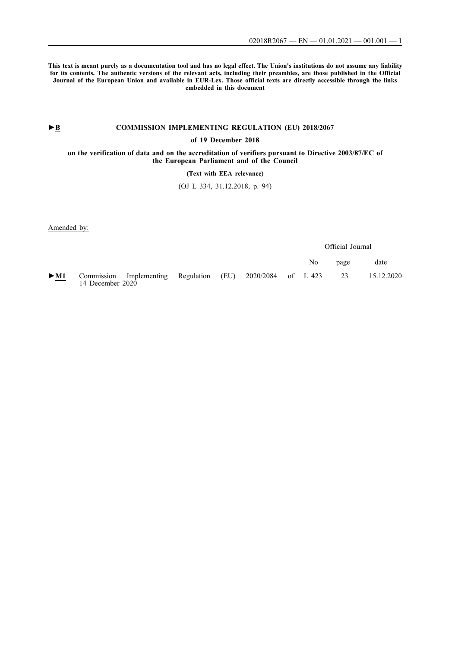**This text is meant purely as a documentation tool and has no legal effect. The Union's institutions do not assume any liability for its contents. The authentic versions of the relevant acts, including their preambles, are those published in the Official Journal of the European Union and available in EUR-Lex. Those official texts are directly accessible through the links embedded in this document**

# ►**B [COMMISSION IMPLEMENTING REGULATION \(EU\) 2018/2067](http://data.europa.eu/eli/reg_impl/2018/2067/oj/eng)**

## **[of 19 December 2018](http://data.europa.eu/eli/reg_impl/2018/2067/oj/eng)**

**[on the verification of data and on the accreditation of verifiers pursuant to Directive 2003/87/EC of](http://data.europa.eu/eli/reg_impl/2018/2067/oj/eng) [the European Parliament and of the Council](http://data.europa.eu/eli/reg_impl/2018/2067/oj/eng)**

## **[\(Text with EEA relevance\)](http://data.europa.eu/eli/reg_impl/2018/2067/oj/eng)**

[\(OJ L 334, 31.12.2018, p. 94\)](http://data.europa.eu/eli/reg_impl/2018/2067/oj/eng)

Amended by:

Official Journal

|                          |                  |                                                                                                   |  |  | No. | page | date |
|--------------------------|------------------|---------------------------------------------------------------------------------------------------|--|--|-----|------|------|
| $\overline{\phantom{a}}$ | 14 December 2020 | $\blacktriangleright$ M1 Commission Implementing Regulation (EU) 2020/2084 of L 423 23 15.12.2020 |  |  |     |      |      |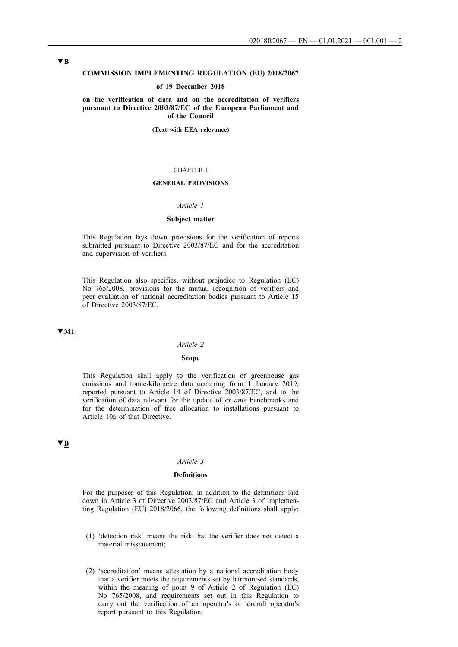## **COMMISSION IMPLEMENTING REGULATION (EU) 2018/2067**

#### **of 19 December 2018**

**on the verification of data and on the accreditation of verifiers pursuant to Directive 2003/87/EC of the European Parliament and of the Council**

**(Text with EEA relevance)**

#### CHAPTER I

### **GENERAL PROVISIONS**

## *Article 1*

### **Subject matter**

This Regulation lays down provisions for the verification of reports submitted pursuant to Directive 2003/87/EC and for the accreditation and supervision of verifiers.

This Regulation also specifies, without prejudice to Regulation (EC) No 765/2008, provisions for the mutual recognition of verifiers and peer evaluation of national accreditation bodies pursuant to Article 15 of Directive 2003/87/EC.

## **▼M1**

#### *Article 2*

## **Scope**

This Regulation shall apply to the verification of greenhouse gas emissions and tonne-kilometre data occurring from 1 January 2019, reported pursuant to Article 14 of Directive 2003/87/EC, and to the verification of data relevant for the update of *ex ante* benchmarks and for the determination of free allocation to installations pursuant to Article 10a of that Directive.

# **▼B**

#### *Article 3*

## **Definitions**

For the purposes of this Regulation, in addition to the definitions laid down in Article 3 of Directive 2003/87/EC and Article 3 of Implementing Regulation (EU) 2018/2066, the following definitions shall apply:

- (1) 'detection risk' means the risk that the verifier does not detect a material misstatement;
- (2) 'accreditation' means attestation by a national accreditation body that a verifier meets the requirements set by harmonised standards, within the meaning of point 9 of Article 2 of Regulation (EC) No 765/2008, and requirements set out in this Regulation to carry out the verification of an operator's or aircraft operator's report pursuant to this Regulation;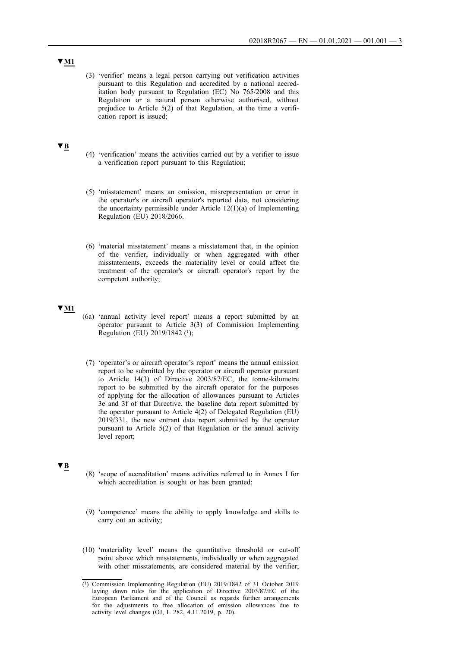(3) 'verifier' means a legal person carrying out verification activities pursuant to this Regulation and accredited by a national accreditation body pursuant to Regulation (EC) No 765/2008 and this Regulation or a natural person otherwise authorised, without prejudice to Article 5(2) of that Regulation, at the time a verification report is issued;

## **▼B**

- (4) 'verification' means the activities carried out by a verifier to issue a verification report pursuant to this Regulation;
- (5) 'misstatement' means an omission, misrepresentation or error in the operator's or aircraft operator's reported data, not considering the uncertainty permissible under Article 12(1)(a) of Implementing Regulation (EU) 2018/2066.
- (6) 'material misstatement' means a misstatement that, in the opinion of the verifier, individually or when aggregated with other misstatements, exceeds the materiality level or could affect the treatment of the operator's or aircraft operator's report by the competent authority;

## **▼M1**

- (6a) 'annual activity level report' means a report submitted by an operator pursuant to Article 3(3) of Commission Implementing Regulation (EU) 2019/1842 (<sup>1</sup>);
- (7) 'operator's or aircraft operator's report' means the annual emission report to be submitted by the operator or aircraft operator pursuant to Article 14(3) of Directive 2003/87/EC, the tonne-kilometre report to be submitted by the aircraft operator for the purposes of applying for the allocation of allowances pursuant to Articles 3e and 3f of that Directive, the baseline data report submitted by the operator pursuant to Article 4(2) of Delegated Regulation (EU) 2019/331, the new entrant data report submitted by the operator pursuant to Article 5(2) of that Regulation or the annual activity level report;

## **▼B**

- (8) 'scope of accreditation' means activities referred to in Annex I for which accreditation is sought or has been granted;
- (9) 'competence' means the ability to apply knowledge and skills to carry out an activity;
- (10) 'materiality level' means the quantitative threshold or cut-off point above which misstatements, individually or when aggregated with other misstatements, are considered material by the verifier;

<sup>(1)</sup> Commission Implementing Regulation (EU) 2019/1842 of 31 October 2019 laying down rules for the application of Directive 2003/87/EC of the European Parliament and of the Council as regards further arrangements for the adjustments to free allocation of emission allowances due to activity level changes (OJ, L 282, 4.11.2019, p. 20).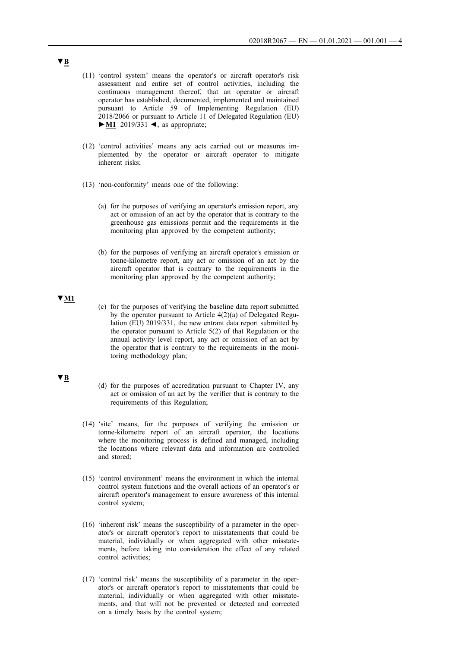- (11) 'control system' means the operator's or aircraft operator's risk assessment and entire set of control activities, including the continuous management thereof, that an operator or aircraft operator has established, documented, implemented and maintained pursuant to Article 59 of Implementing Regulation (EU) 2018/2066 or pursuant to Article 11 of Delegated Regulation (EU) **►M1** 2019/331 ◄, as appropriate;
- (12) 'control activities' means any acts carried out or measures implemented by the operator or aircraft operator to mitigate inherent risks;
- (13) 'non-conformity' means one of the following:
	- (a) for the purposes of verifying an operator's emission report, any act or omission of an act by the operator that is contrary to the greenhouse gas emissions permit and the requirements in the monitoring plan approved by the competent authority;
	- (b) for the purposes of verifying an aircraft operator's emission or tonne-kilometre report, any act or omission of an act by the aircraft operator that is contrary to the requirements in the monitoring plan approved by the competent authority;

## **▼M1**

(c) for the purposes of verifying the baseline data report submitted by the operator pursuant to Article 4(2)(a) of Delegated Regulation (EU) 2019/331, the new entrant data report submitted by the operator pursuant to Article 5(2) of that Regulation or the annual activity level report, any act or omission of an act by the operator that is contrary to the requirements in the monitoring methodology plan;

## **▼B**

- (d) for the purposes of accreditation pursuant to Chapter IV, any act or omission of an act by the verifier that is contrary to the requirements of this Regulation;
- (14) 'site' means, for the purposes of verifying the emission or tonne-kilometre report of an aircraft operator, the locations where the monitoring process is defined and managed, including the locations where relevant data and information are controlled and stored;
- (15) 'control environment' means the environment in which the internal control system functions and the overall actions of an operator's or aircraft operator's management to ensure awareness of this internal control system;
- (16) 'inherent risk' means the susceptibility of a parameter in the operator's or aircraft operator's report to misstatements that could be material, individually or when aggregated with other misstatements, before taking into consideration the effect of any related control activities;
- (17) 'control risk' means the susceptibility of a parameter in the operator's or aircraft operator's report to misstatements that could be material, individually or when aggregated with other misstatements, and that will not be prevented or detected and corrected on a timely basis by the control system;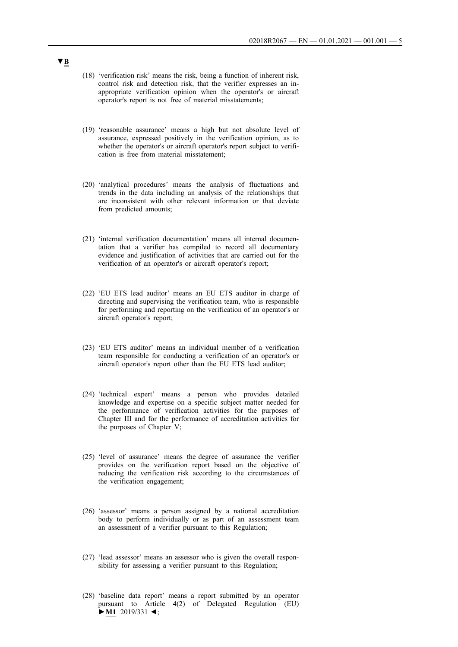- (18) 'verification risk' means the risk, being a function of inherent risk, control risk and detection risk, that the verifier expresses an inappropriate verification opinion when the operator's or aircraft operator's report is not free of material misstatements;
- (19) 'reasonable assurance' means a high but not absolute level of assurance, expressed positively in the verification opinion, as to whether the operator's or aircraft operator's report subject to verification is free from material misstatement;
- (20) 'analytical procedures' means the analysis of fluctuations and trends in the data including an analysis of the relationships that are inconsistent with other relevant information or that deviate from predicted amounts;
- (21) 'internal verification documentation' means all internal documentation that a verifier has compiled to record all documentary evidence and justification of activities that are carried out for the verification of an operator's or aircraft operator's report;
- (22) 'EU ETS lead auditor' means an EU ETS auditor in charge of directing and supervising the verification team, who is responsible for performing and reporting on the verification of an operator's or aircraft operator's report;
- (23) 'EU ETS auditor' means an individual member of a verification team responsible for conducting a verification of an operator's or aircraft operator's report other than the EU ETS lead auditor;
- (24) 'technical expert' means a person who provides detailed knowledge and expertise on a specific subject matter needed for the performance of verification activities for the purposes of Chapter III and for the performance of accreditation activities for the purposes of Chapter V;
- (25) 'level of assurance' means the degree of assurance the verifier provides on the verification report based on the objective of reducing the verification risk according to the circumstances of the verification engagement;
- (26) 'assessor' means a person assigned by a national accreditation body to perform individually or as part of an assessment team an assessment of a verifier pursuant to this Regulation;
- (27) 'lead assessor' means an assessor who is given the overall responsibility for assessing a verifier pursuant to this Regulation;
- (28) 'baseline data report' means a report submitted by an operator pursuant to Article 4(2) of Delegated Regulation (EU) **►M1** 2019/331 ◄;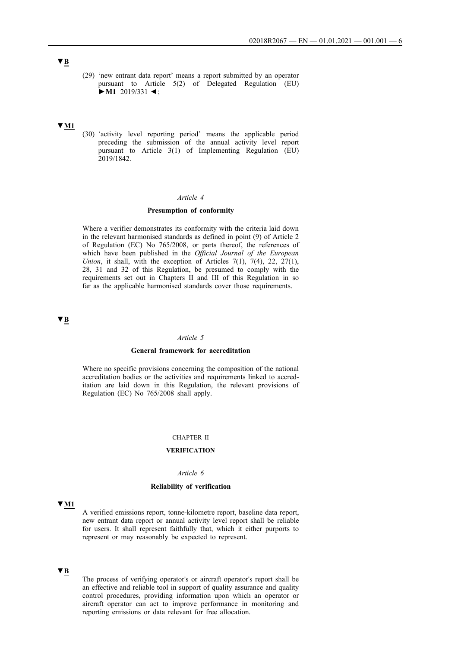(29) 'new entrant data report' means a report submitted by an operator pursuant to Article 5(2) of Delegated Regulation (EU) **►M1** 2019/331 ◄ ;

## **▼M1**

(30) 'activity level reporting period' means the applicable period preceding the submission of the annual activity level report pursuant to Article 3(1) of Implementing Regulation (EU)  $2019/1842$ .

## *Article 4*

## **Presumption of conformity**

Where a verifier demonstrates its conformity with the criteria laid down in the relevant harmonised standards as defined in point (9) of Article 2 of Regulation (EC) No 765/2008, or parts thereof, the references of which have been published in the *Official Journal of the European Union*, it shall, with the exception of Articles 7(1),  $7(4)$ , 22,  $27(1)$ , 28, 31 and 32 of this Regulation, be presumed to comply with the requirements set out in Chapters II and III of this Regulation in so far as the applicable harmonised standards cover those requirements.

**▼B**

## *Article 5*

#### **General framework for accreditation**

Where no specific provisions concerning the composition of the national accreditation bodies or the activities and requirements linked to accreditation are laid down in this Regulation, the relevant provisions of Regulation (EC) No 765/2008 shall apply.

#### CHAPTER II

## **VERIFICATION**

## *Article 6*

## **Reliability of verification**

### **▼M1**

A verified emissions report, tonne-kilometre report, baseline data report, new entrant data report or annual activity level report shall be reliable for users. It shall represent faithfully that, which it either purports to represent or may reasonably be expected to represent.

## **▼B**

The process of verifying operator's or aircraft operator's report shall be an effective and reliable tool in support of quality assurance and quality control procedures, providing information upon which an operator or aircraft operator can act to improve performance in monitoring and reporting emissions or data relevant for free allocation.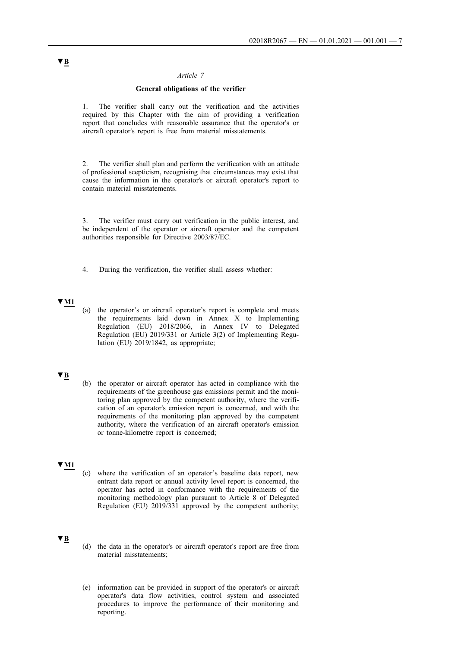### *Article 7*

## **General obligations of the verifier**

1. The verifier shall carry out the verification and the activities required by this Chapter with the aim of providing a verification report that concludes with reasonable assurance that the operator's or aircraft operator's report is free from material misstatements.

2. The verifier shall plan and perform the verification with an attitude of professional scepticism, recognising that circumstances may exist that cause the information in the operator's or aircraft operator's report to contain material misstatements.

3. The verifier must carry out verification in the public interest, and be independent of the operator or aircraft operator and the competent authorities responsible for Directive 2003/87/EC.

4. During the verification, the verifier shall assess whether:

## **▼M1**

(a) the operator's or aircraft operator's report is complete and meets the requirements laid down in Annex X to Implementing Regulation (EU) 2018/2066, in Annex IV to Delegated Regulation (EU) 2019/331 or Article 3(2) of Implementing Regulation (EU) 2019/1842, as appropriate;

# **▼B**

(b) the operator or aircraft operator has acted in compliance with the requirements of the greenhouse gas emissions permit and the monitoring plan approved by the competent authority, where the verification of an operator's emission report is concerned, and with the requirements of the monitoring plan approved by the competent authority, where the verification of an aircraft operator's emission or tonne-kilometre report is concerned;

#### **▼M1**

(c) where the verification of an operator's baseline data report, new entrant data report or annual activity level report is concerned, the operator has acted in conformance with the requirements of the monitoring methodology plan pursuant to Article 8 of Delegated Regulation (EU) 2019/331 approved by the competent authority;

# **▼B**

- (d) the data in the operator's or aircraft operator's report are free from material misstatements;
- (e) information can be provided in support of the operator's or aircraft operator's data flow activities, control system and associated procedures to improve the performance of their monitoring and reporting.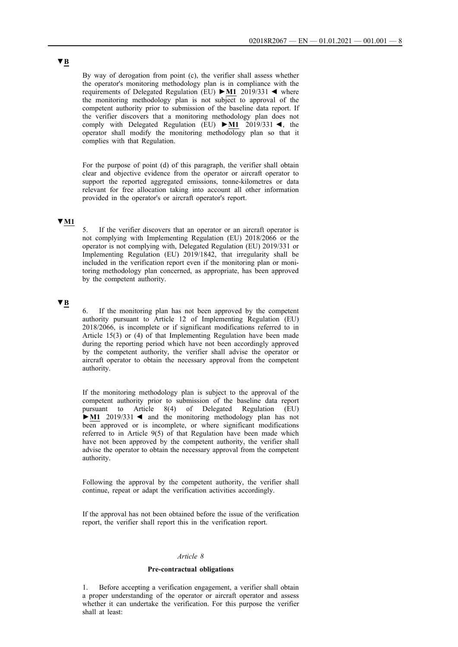By way of derogation from point (c), the verifier shall assess whether the operator's monitoring methodology plan is in compliance with the requirements of Delegated Regulation (EU) **►M1** 2019/331 ◄ where the monitoring methodology plan is not subject to approval of the competent authority prior to submission of the baseline data report. If the verifier discovers that a monitoring methodology plan does not comply with Delegated Regulation (EU) **►M1** 2019/331 ◄, the operator shall modify the monitoring methodology plan so that it complies with that Regulation.

For the purpose of point (d) of this paragraph, the verifier shall obtain clear and objective evidence from the operator or aircraft operator to support the reported aggregated emissions, tonne-kilometres or data relevant for free allocation taking into account all other information provided in the operator's or aircraft operator's report.

## **▼M1**

5. If the verifier discovers that an operator or an aircraft operator is not complying with Implementing Regulation (EU) 2018/2066 or the operator is not complying with, Delegated Regulation (EU) 2019/331 or Implementing Regulation (EU) 2019/1842, that irregularity shall be included in the verification report even if the monitoring plan or monitoring methodology plan concerned, as appropriate, has been approved by the competent authority.

# **▼B**

6. If the monitoring plan has not been approved by the competent authority pursuant to Article 12 of Implementing Regulation (EU) 2018/2066, is incomplete or if significant modifications referred to in Article 15(3) or (4) of that Implementing Regulation have been made during the reporting period which have not been accordingly approved by the competent authority, the verifier shall advise the operator or aircraft operator to obtain the necessary approval from the competent authority.

If the monitoring methodology plan is subject to the approval of the competent authority prior to submission of the baseline data report pursuant to Article 8(4) of Delegated Regulation (EU) **►M1** 2019/331 ◄ and the monitoring methodology plan has not been approved or is incomplete, or where significant modifications referred to in Article 9(5) of that Regulation have been made which have not been approved by the competent authority, the verifier shall advise the operator to obtain the necessary approval from the competent authority.

Following the approval by the competent authority, the verifier shall continue, repeat or adapt the verification activities accordingly.

If the approval has not been obtained before the issue of the verification report, the verifier shall report this in the verification report.

### *Article 8*

### **Pre-contractual obligations**

1. Before accepting a verification engagement, a verifier shall obtain a proper understanding of the operator or aircraft operator and assess whether it can undertake the verification. For this purpose the verifier shall at least: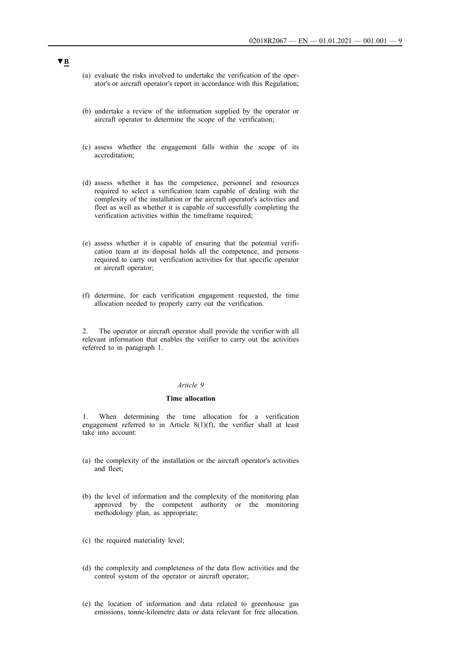- (a) evaluate the risks involved to undertake the verification of the operator's or aircraft operator's report in accordance with this Regulation;
- (b) undertake a review of the information supplied by the operator or aircraft operator to determine the scope of the verification;
- (c) assess whether the engagement falls within the scope of its accreditation;
- (d) assess whether it has the competence, personnel and resources required to select a verification team capable of dealing with the complexity of the installation or the aircraft operator's activities and fleet as well as whether it is capable of successfully completing the verification activities within the timeframe required;
- (e) assess whether it is capable of ensuring that the potential verification team at its disposal holds all the competence, and persons required to carry out verification activities for that specific operator or aircraft operator;
- (f) determine, for each verification engagement requested, the time allocation needed to properly carry out the verification.

2. The operator or aircraft operator shall provide the verifier with all relevant information that enables the verifier to carry out the activities referred to in paragraph 1.

## *Article 9*

#### **Time allocation**

1. When determining the time allocation for a verification engagement referred to in Article 8(1)(f), the verifier shall at least take into account:

- (a) the complexity of the installation or the aircraft operator's activities and fleet;
- (b) the level of information and the complexity of the monitoring plan approved by the competent authority or the monitoring methodology plan, as appropriate;
- (c) the required materiality level;
- (d) the complexity and completeness of the data flow activities and the control system of the operator or aircraft operator;
- (e) the location of information and data related to greenhouse gas emissions, tonne-kilometre data or data relevant for free allocation.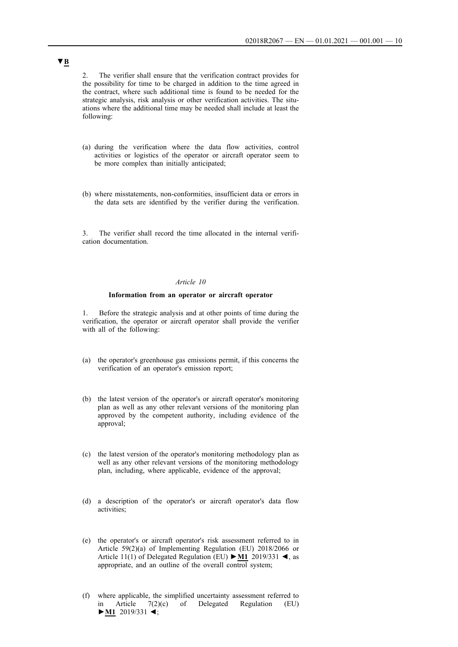2. The verifier shall ensure that the verification contract provides for the possibility for time to be charged in addition to the time agreed in the contract, where such additional time is found to be needed for the strategic analysis, risk analysis or other verification activities. The situations where the additional time may be needed shall include at least the following:

- (a) during the verification where the data flow activities, control activities or logistics of the operator or aircraft operator seem to be more complex than initially anticipated;
- (b) where misstatements, non-conformities, insufficient data or errors in the data sets are identified by the verifier during the verification.

3. The verifier shall record the time allocated in the internal verification documentation.

## *Article 10*

#### **Information from an operator or aircraft operator**

1. Before the strategic analysis and at other points of time during the verification, the operator or aircraft operator shall provide the verifier with all of the following:

- (a) the operator's greenhouse gas emissions permit, if this concerns the verification of an operator's emission report;
- (b) the latest version of the operator's or aircraft operator's monitoring plan as well as any other relevant versions of the monitoring plan approved by the competent authority, including evidence of the approval;
- (c) the latest version of the operator's monitoring methodology plan as well as any other relevant versions of the monitoring methodology plan, including, where applicable, evidence of the approval;
- (d) a description of the operator's or aircraft operator's data flow activities;
- (e) the operator's or aircraft operator's risk assessment referred to in Article 59(2)(a) of Implementing Regulation (EU) 2018/2066 or Article 11(1) of Delegated Regulation (EU) **►M1** 2019/331 ◄, as appropriate, and an outline of the overall control system;
- (f) where applicable, the simplified uncertainty assessment referred to in Article 7(2)(c) of Delegated Regulation (EU) **►M1** 2019/331 ◄;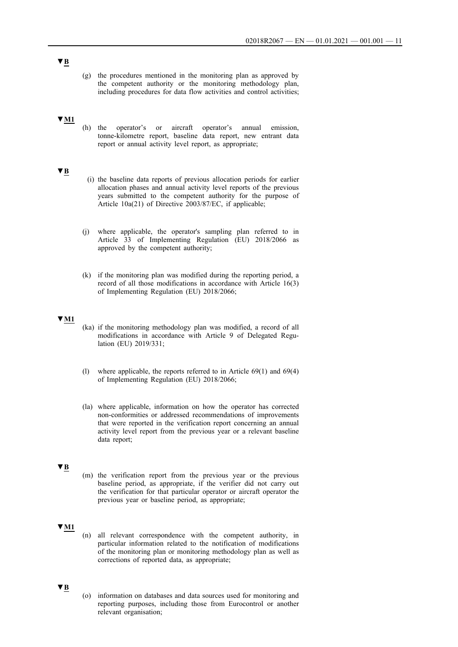(g) the procedures mentioned in the monitoring plan as approved by the competent authority or the monitoring methodology plan, including procedures for data flow activities and control activities;

### **▼M1**

(h) the operator's or aircraft operator's annual emission, tonne-kilometre report, baseline data report, new entrant data report or annual activity level report, as appropriate;

## **▼B**

- (i) the baseline data reports of previous allocation periods for earlier allocation phases and annual activity level reports of the previous years submitted to the competent authority for the purpose of Article 10a(21) of Directive 2003/87/EC, if applicable;
- (j) where applicable, the operator's sampling plan referred to in Article 33 of Implementing Regulation (EU) 2018/2066 as approved by the competent authority;
- (k) if the monitoring plan was modified during the reporting period, a record of all those modifications in accordance with Article 16(3) of Implementing Regulation (EU) 2018/2066;

## **▼M1**

- (ka) if the monitoring methodology plan was modified, a record of all modifications in accordance with Article 9 of Delegated Regulation (EU) 2019/331;
- (l) where applicable, the reports referred to in Article 69(1) and 69(4) of Implementing Regulation (EU) 2018/2066;
- (la) where applicable, information on how the operator has corrected non-conformities or addressed recommendations of improvements that were reported in the verification report concerning an annual activity level report from the previous year or a relevant baseline data report;

#### **▼B**

(m) the verification report from the previous year or the previous baseline period, as appropriate, if the verifier did not carry out the verification for that particular operator or aircraft operator the previous year or baseline period, as appropriate;

## **▼M1**

(n) all relevant correspondence with the competent authority, in particular information related to the notification of modifications of the monitoring plan or monitoring methodology plan as well as corrections of reported data, as appropriate;

## **▼B**

(o) information on databases and data sources used for monitoring and reporting purposes, including those from Eurocontrol or another relevant organisation;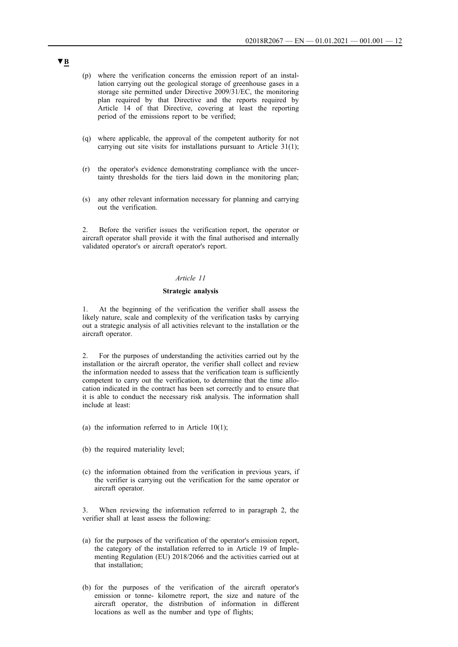- (p) where the verification concerns the emission report of an installation carrying out the geological storage of greenhouse gases in a storage site permitted under Directive 2009/31/EC, the monitoring plan required by that Directive and the reports required by Article 14 of that Directive, covering at least the reporting period of the emissions report to be verified;
- (q) where applicable, the approval of the competent authority for not carrying out site visits for installations pursuant to Article 31(1);
- (r) the operator's evidence demonstrating compliance with the uncertainty thresholds for the tiers laid down in the monitoring plan;
- (s) any other relevant information necessary for planning and carrying out the verification.

2. Before the verifier issues the verification report, the operator or aircraft operator shall provide it with the final authorised and internally validated operator's or aircraft operator's report.

### *Article 11*

## **Strategic analysis**

At the beginning of the verification the verifier shall assess the likely nature, scale and complexity of the verification tasks by carrying out a strategic analysis of all activities relevant to the installation or the aircraft operator.

2. For the purposes of understanding the activities carried out by the installation or the aircraft operator, the verifier shall collect and review the information needed to assess that the verification team is sufficiently competent to carry out the verification, to determine that the time allocation indicated in the contract has been set correctly and to ensure that it is able to conduct the necessary risk analysis. The information shall include at least:

- (a) the information referred to in Article  $10(1)$ ;
- (b) the required materiality level;
- (c) the information obtained from the verification in previous years, if the verifier is carrying out the verification for the same operator or aircraft operator.

3. When reviewing the information referred to in paragraph 2, the verifier shall at least assess the following:

- (a) for the purposes of the verification of the operator's emission report, the category of the installation referred to in Article 19 of Implementing Regulation (EU) 2018/2066 and the activities carried out at that installation;
- (b) for the purposes of the verification of the aircraft operator's emission or tonne- kilometre report, the size and nature of the aircraft operator, the distribution of information in different locations as well as the number and type of flights;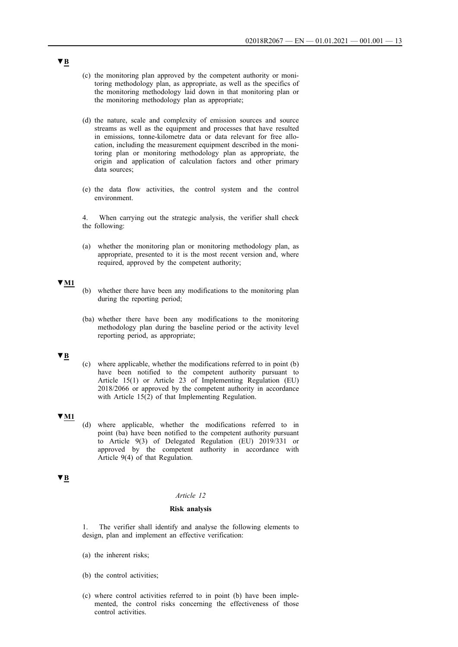- (c) the monitoring plan approved by the competent authority or monitoring methodology plan, as appropriate, as well as the specifics of the monitoring methodology laid down in that monitoring plan or the monitoring methodology plan as appropriate;
- (d) the nature, scale and complexity of emission sources and source streams as well as the equipment and processes that have resulted in emissions, tonne-kilometre data or data relevant for free allocation, including the measurement equipment described in the monitoring plan or monitoring methodology plan as appropriate, the origin and application of calculation factors and other primary data sources;
- (e) the data flow activities, the control system and the control environment.

4. When carrying out the strategic analysis, the verifier shall check the following:

(a) whether the monitoring plan or monitoring methodology plan, as appropriate, presented to it is the most recent version and, where required, approved by the competent authority;

## **▼M1**

- (b) whether there have been any modifications to the monitoring plan during the reporting period;
- (ba) whether there have been any modifications to the monitoring methodology plan during the baseline period or the activity level reporting period, as appropriate;

## **▼B**

(c) where applicable, whether the modifications referred to in point (b) have been notified to the competent authority pursuant to Article 15(1) or Article 23 of Implementing Regulation (EU) 2018/2066 or approved by the competent authority in accordance with Article 15(2) of that Implementing Regulation.

## **▼M1**

(d) where applicable, whether the modifications referred to in point (ba) have been notified to the competent authority pursuant to Article 9(3) of Delegated Regulation (EU) 2019/331 or approved by the competent authority in accordance with Article 9(4) of that Regulation.

# **▼B**

#### *Article 12*

## **Risk analysis**

1. The verifier shall identify and analyse the following elements to design, plan and implement an effective verification:

- (a) the inherent risks;
- (b) the control activities;
- (c) where control activities referred to in point (b) have been implemented, the control risks concerning the effectiveness of those control activities.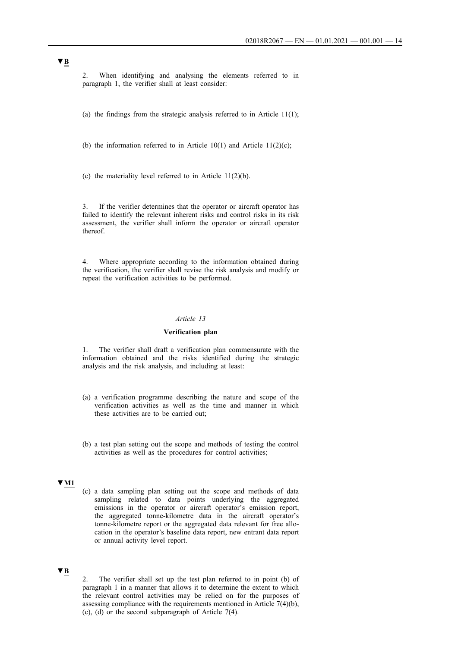2. When identifying and analysing the elements referred to in paragraph 1, the verifier shall at least consider:

(a) the findings from the strategic analysis referred to in Article  $11(1)$ ;

(b) the information referred to in Article  $10(1)$  and Article  $11(2)(c)$ ;

(c) the materiality level referred to in Article  $11(2)(b)$ .

3. If the verifier determines that the operator or aircraft operator has failed to identify the relevant inherent risks and control risks in its risk assessment, the verifier shall inform the operator or aircraft operator thereof.

4. Where appropriate according to the information obtained during the verification, the verifier shall revise the risk analysis and modify or repeat the verification activities to be performed.

# *Article 13*

### **Verification plan**

1. The verifier shall draft a verification plan commensurate with the information obtained and the risks identified during the strategic analysis and the risk analysis, and including at least:

- (a) a verification programme describing the nature and scope of the verification activities as well as the time and manner in which these activities are to be carried out;
- (b) a test plan setting out the scope and methods of testing the control activities as well as the procedures for control activities;

#### **▼M1**

(c) a data sampling plan setting out the scope and methods of data sampling related to data points underlying the aggregated emissions in the operator or aircraft operator's emission report, the aggregated tonne-kilometre data in the aircraft operator's tonne-kilometre report or the aggregated data relevant for free allocation in the operator's baseline data report, new entrant data report or annual activity level report.

# **▼B**

2. The verifier shall set up the test plan referred to in point (b) of paragraph 1 in a manner that allows it to determine the extent to which the relevant control activities may be relied on for the purposes of assessing compliance with the requirements mentioned in Article 7(4)(b), (c), (d) or the second subparagraph of Article 7(4).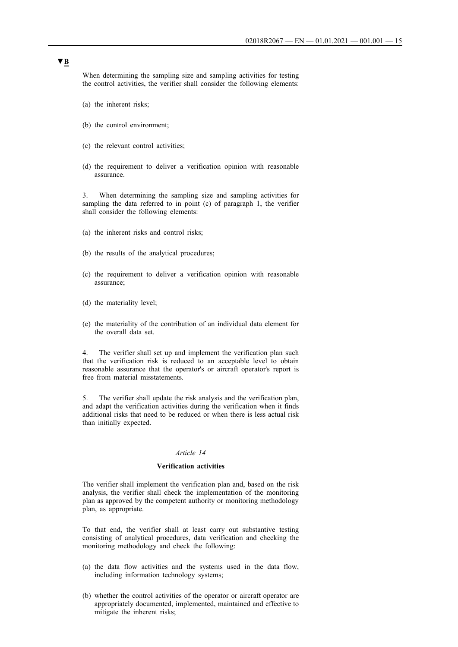When determining the sampling size and sampling activities for testing the control activities, the verifier shall consider the following elements:

- (a) the inherent risks;
- (b) the control environment;
- (c) the relevant control activities;
- (d) the requirement to deliver a verification opinion with reasonable assurance.

3. When determining the sampling size and sampling activities for sampling the data referred to in point (c) of paragraph 1, the verifier shall consider the following elements:

- (a) the inherent risks and control risks;
- (b) the results of the analytical procedures;
- (c) the requirement to deliver a verification opinion with reasonable assurance;
- (d) the materiality level;
- (e) the materiality of the contribution of an individual data element for the overall data set.

4. The verifier shall set up and implement the verification plan such that the verification risk is reduced to an acceptable level to obtain reasonable assurance that the operator's or aircraft operator's report is free from material misstatements.

5. The verifier shall update the risk analysis and the verification plan, and adapt the verification activities during the verification when it finds additional risks that need to be reduced or when there is less actual risk than initially expected.

## *Article 14*

## **Verification activities**

The verifier shall implement the verification plan and, based on the risk analysis, the verifier shall check the implementation of the monitoring plan as approved by the competent authority or monitoring methodology plan, as appropriate.

To that end, the verifier shall at least carry out substantive testing consisting of analytical procedures, data verification and checking the monitoring methodology and check the following:

- (a) the data flow activities and the systems used in the data flow, including information technology systems;
- (b) whether the control activities of the operator or aircraft operator are appropriately documented, implemented, maintained and effective to mitigate the inherent risks;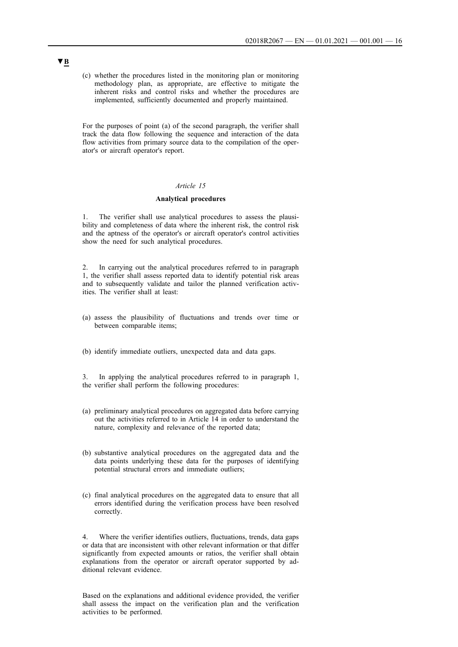(c) whether the procedures listed in the monitoring plan or monitoring methodology plan, as appropriate, are effective to mitigate the inherent risks and control risks and whether the procedures are implemented, sufficiently documented and properly maintained.

For the purposes of point (a) of the second paragraph, the verifier shall track the data flow following the sequence and interaction of the data flow activities from primary source data to the compilation of the operator's or aircraft operator's report.

## *Article 15*

#### **Analytical procedures**

1. The verifier shall use analytical procedures to assess the plausibility and completeness of data where the inherent risk, the control risk and the aptness of the operator's or aircraft operator's control activities show the need for such analytical procedures.

2. In carrying out the analytical procedures referred to in paragraph 1, the verifier shall assess reported data to identify potential risk areas and to subsequently validate and tailor the planned verification activities. The verifier shall at least:

- (a) assess the plausibility of fluctuations and trends over time or between comparable items;
- (b) identify immediate outliers, unexpected data and data gaps.

In applying the analytical procedures referred to in paragraph 1, the verifier shall perform the following procedures:

- (a) preliminary analytical procedures on aggregated data before carrying out the activities referred to in Article 14 in order to understand the nature, complexity and relevance of the reported data;
- (b) substantive analytical procedures on the aggregated data and the data points underlying these data for the purposes of identifying potential structural errors and immediate outliers;
- (c) final analytical procedures on the aggregated data to ensure that all errors identified during the verification process have been resolved correctly.

4. Where the verifier identifies outliers, fluctuations, trends, data gaps or data that are inconsistent with other relevant information or that differ significantly from expected amounts or ratios, the verifier shall obtain explanations from the operator or aircraft operator supported by additional relevant evidence.

Based on the explanations and additional evidence provided, the verifier shall assess the impact on the verification plan and the verification activities to be performed.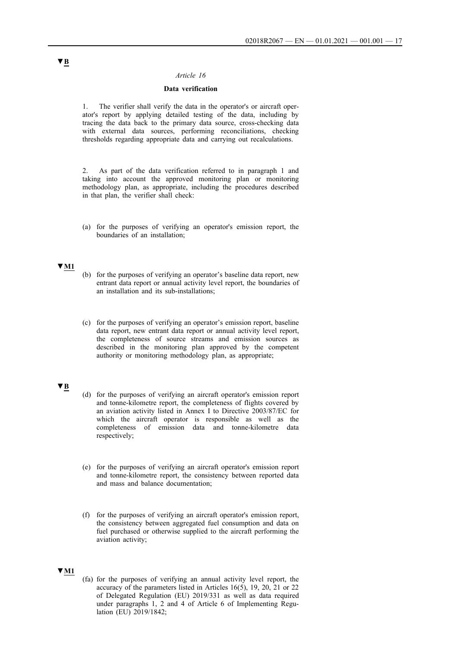## *Article 16*

## **Data verification**

1. The verifier shall verify the data in the operator's or aircraft operator's report by applying detailed testing of the data, including by tracing the data back to the primary data source, cross-checking data with external data sources, performing reconciliations, checking thresholds regarding appropriate data and carrying out recalculations.

2. As part of the data verification referred to in paragraph 1 and taking into account the approved monitoring plan or monitoring methodology plan, as appropriate, including the procedures described in that plan, the verifier shall check:

(a) for the purposes of verifying an operator's emission report, the boundaries of an installation;

## **▼M1**

- (b) for the purposes of verifying an operator's baseline data report, new entrant data report or annual activity level report, the boundaries of an installation and its sub-installations;
- (c) for the purposes of verifying an operator's emission report, baseline data report, new entrant data report or annual activity level report, the completeness of source streams and emission sources as described in the monitoring plan approved by the competent authority or monitoring methodology plan, as appropriate;

# **▼B**

- (d) for the purposes of verifying an aircraft operator's emission report and tonne-kilometre report, the completeness of flights covered by an aviation activity listed in Annex I to Directive 2003/87/EC for which the aircraft operator is responsible as well as the completeness of emission data and tonne-kilometre data respectively;
- (e) for the purposes of verifying an aircraft operator's emission report and tonne-kilometre report, the consistency between reported data and mass and balance documentation;
- (f) for the purposes of verifying an aircraft operator's emission report, the consistency between aggregated fuel consumption and data on fuel purchased or otherwise supplied to the aircraft performing the aviation activity;

#### **▼M1**

(fa) for the purposes of verifying an annual activity level report, the accuracy of the parameters listed in Articles 16(5), 19, 20, 21 or 22 of Delegated Regulation (EU) 2019/331 as well as data required under paragraphs 1, 2 and 4 of Article 6 of Implementing Regulation (EU) 2019/1842;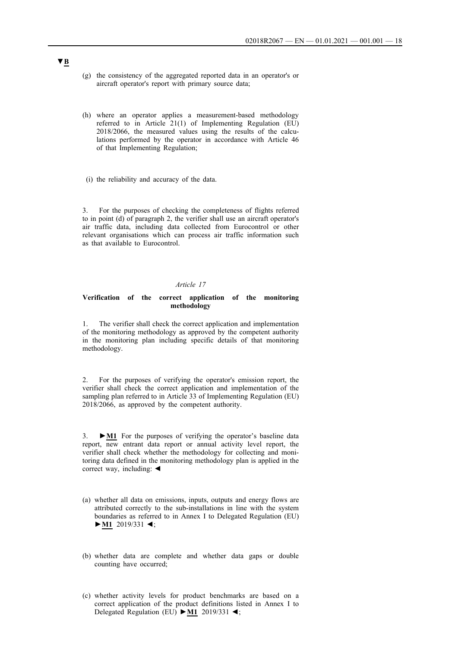- (g) the consistency of the aggregated reported data in an operator's or aircraft operator's report with primary source data;
- (h) where an operator applies a measurement-based methodology referred to in Article 21(1) of Implementing Regulation (EU) 2018/2066, the measured values using the results of the calculations performed by the operator in accordance with Article 46 of that Implementing Regulation;
- (i) the reliability and accuracy of the data.

3. For the purposes of checking the completeness of flights referred to in point (d) of paragraph 2, the verifier shall use an aircraft operator's air traffic data, including data collected from Eurocontrol or other relevant organisations which can process air traffic information such as that available to Eurocontrol.

### *Article 17*

#### **Verification of the correct application of the monitoring methodology**

1. The verifier shall check the correct application and implementation of the monitoring methodology as approved by the competent authority in the monitoring plan including specific details of that monitoring methodology.

2. For the purposes of verifying the operator's emission report, the verifier shall check the correct application and implementation of the sampling plan referred to in Article 33 of Implementing Regulation (EU) 2018/2066, as approved by the competent authority.

3. **►M1** For the purposes of verifying the operator's baseline data report, new entrant data report or annual activity level report, the verifier shall check whether the methodology for collecting and monitoring data defined in the monitoring methodology plan is applied in the correct way, including: ◄

- (a) whether all data on emissions, inputs, outputs and energy flows are attributed correctly to the sub-installations in line with the system boundaries as referred to in Annex I to Delegated Regulation (EU) **►M1** 2019/331 ◄;
- (b) whether data are complete and whether data gaps or double counting have occurred;
- (c) whether activity levels for product benchmarks are based on a correct application of the product definitions listed in Annex I to Delegated Regulation (EU) **►M1** 2019/331 ◄;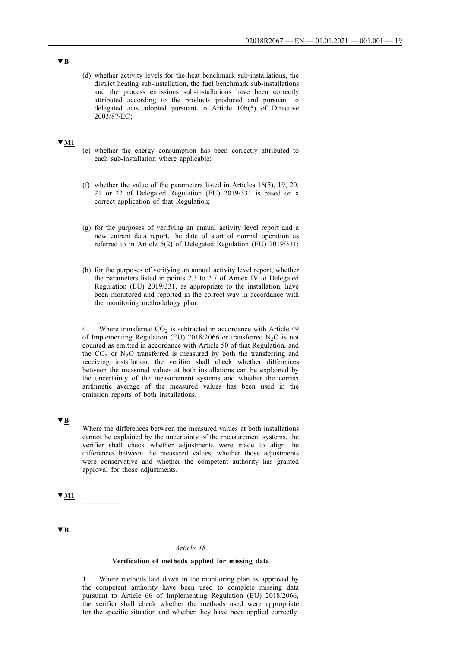(d) whether activity levels for the heat benchmark sub-installations, the district heating sub-installation, the fuel benchmark sub-installations and the process emissions sub-installations have been correctly attributed according to the products produced and pursuant to delegated acts adopted pursuant to Article 10b(5) of Directive 2003/87/EC ;

## **▼M1**

- (e) whether the energy consumption has been correctly attributed to each sub-installation where applicable;
- (f) whether the value of the parameters listed in Articles 16(5), 19, 20, 21 or 22 of Delegated Regulation (EU) 2019/331 is based on a correct application of that Regulation;
- (g) for the purposes of verifying an annual activity level report and a new entrant data report, the date of start of normal operation as referred to in Article 5(2) of Delegated Regulation (EU) 2019/331;
- (h) for the purposes of verifying an annual activity level report, whether the parameters listed in points 2.3 to 2.7 of Annex IV to Delegated Regulation (EU) 2019/331, as appropriate to the installation, have been monitored and reported in the correct way in accordance with the monitoring methodology plan.

4. Where transferred  $CO<sub>2</sub>$  is subtracted in accordance with Article 49 of Implementing Regulation (EU)  $2018/2066$  or transferred N<sub>2</sub>O is not counted as emitted in accordance with Article 50 of that Regulation, and the  $CO<sub>2</sub>$  or N<sub>2</sub>O transferred is measured by both the transferring and receiving installation, the verifier shall check whether differences between the measured values at both installations can be explained by the uncertainty of the measurement systems and whether the correct arithmetic average of the measured values has been used in the emission reports of both installations.

## **▼B**

Where the differences between the measured values at both installations cannot be explained by the uncertainty of the measurement systems, the verifier shall check whether adjustments were made to align the differences between the measured values, whether those adjustments were conservative and whether the competent authority has granted approval for those adjustments.

 $\blacktriangledown$  M1

## **▼B**

#### *Article 18*

#### **Verification of methods applied for missing data**

1. Where methods laid down in the monitoring plan as approved by the competent authority have been used to complete missing data pursuant to Article 66 of Implementing Regulation (EU) 2018/2066, the verifier shall check whether the methods used were appropriate for the specific situation and whether they have been applied correctly.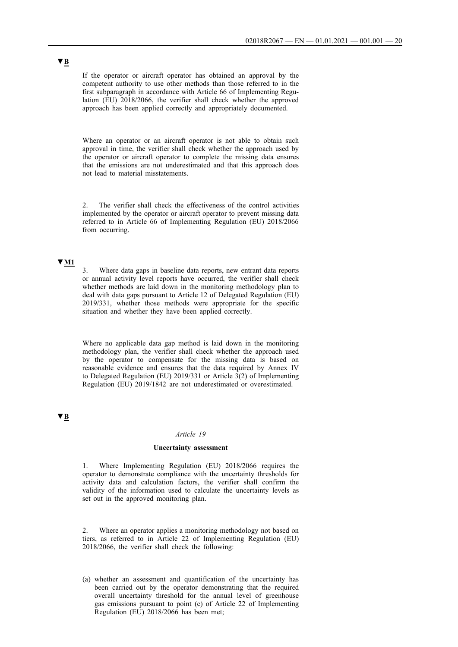If the operator or aircraft operator has obtained an approval by the competent authority to use other methods than those referred to in the first subparagraph in accordance with Article 66 of Implementing Regulation (EU) 2018/2066, the verifier shall check whether the approved approach has been applied correctly and appropriately documented.

Where an operator or an aircraft operator is not able to obtain such approval in time, the verifier shall check whether the approach used by the operator or aircraft operator to complete the missing data ensures that the emissions are not underestimated and that this approach does not lead to material misstatements.

2. The verifier shall check the effectiveness of the control activities implemented by the operator or aircraft operator to prevent missing data referred to in Article 66 of Implementing Regulation (EU) 2018/2066 from occurring.

## **▼M1**

Where data gaps in baseline data reports, new entrant data reports or annual activity level reports have occurred, the verifier shall check whether methods are laid down in the monitoring methodology plan to deal with data gaps pursuant to Article 12 of Delegated Regulation (EU) 2019/331, whether those methods were appropriate for the specific situation and whether they have been applied correctly.

Where no applicable data gap method is laid down in the monitoring methodology plan, the verifier shall check whether the approach used by the operator to compensate for the missing data is based on reasonable evidence and ensures that the data required by Annex IV to Delegated Regulation (EU) 2019/331 or Article 3(2) of Implementing Regulation (EU) 2019/1842 are not underestimated or overestimated.

# **▼B**

## *Article 19*

#### **Uncertainty assessment**

1. Where Implementing Regulation (EU) 2018/2066 requires the operator to demonstrate compliance with the uncertainty thresholds for activity data and calculation factors, the verifier shall confirm the validity of the information used to calculate the uncertainty levels as set out in the approved monitoring plan.

2. Where an operator applies a monitoring methodology not based on tiers, as referred to in Article 22 of Implementing Regulation (EU) 2018/2066, the verifier shall check the following:

(a) whether an assessment and quantification of the uncertainty has been carried out by the operator demonstrating that the required overall uncertainty threshold for the annual level of greenhouse gas emissions pursuant to point (c) of Article 22 of Implementing Regulation (EU) 2018/2066 has been met;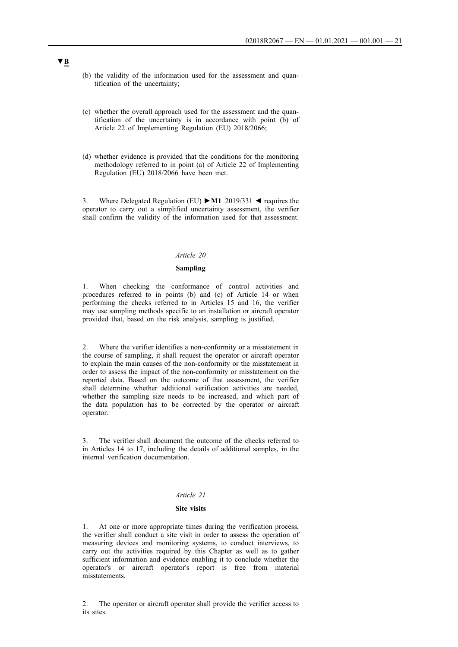- (b) the validity of the information used for the assessment and quantification of the uncertainty;
- (c) whether the overall approach used for the assessment and the quantification of the uncertainty is in accordance with point (b) of Article 22 of Implementing Regulation (EU) 2018/2066;
- (d) whether evidence is provided that the conditions for the monitoring methodology referred to in point (a) of Article 22 of Implementing Regulation (EU) 2018/2066 have been met.

3. Where Delegated Regulation (EU) **►M1** 2019/331 ◄ requires the operator to carry out a simplified uncertainty assessment, the verifier shall confirm the validity of the information used for that assessment.

### *Article 20*

## **Sampling**

1. When checking the conformance of control activities and procedures referred to in points (b) and (c) of Article 14 or when performing the checks referred to in Articles 15 and 16, the verifier may use sampling methods specific to an installation or aircraft operator provided that, based on the risk analysis, sampling is justified.

2. Where the verifier identifies a non-conformity or a misstatement in the course of sampling, it shall request the operator or aircraft operator to explain the main causes of the non-conformity or the misstatement in order to assess the impact of the non-conformity or misstatement on the reported data. Based on the outcome of that assessment, the verifier shall determine whether additional verification activities are needed, whether the sampling size needs to be increased, and which part of the data population has to be corrected by the operator or aircraft operator.

3. The verifier shall document the outcome of the checks referred to in Articles 14 to 17, including the details of additional samples, in the internal verification documentation.

### *Article 21*

#### **Site visits**

1. At one or more appropriate times during the verification process, the verifier shall conduct a site visit in order to assess the operation of measuring devices and monitoring systems, to conduct interviews, to carry out the activities required by this Chapter as well as to gather sufficient information and evidence enabling it to conclude whether the operator's or aircraft operator's report is free from material misstatements.

2. The operator or aircraft operator shall provide the verifier access to its sites.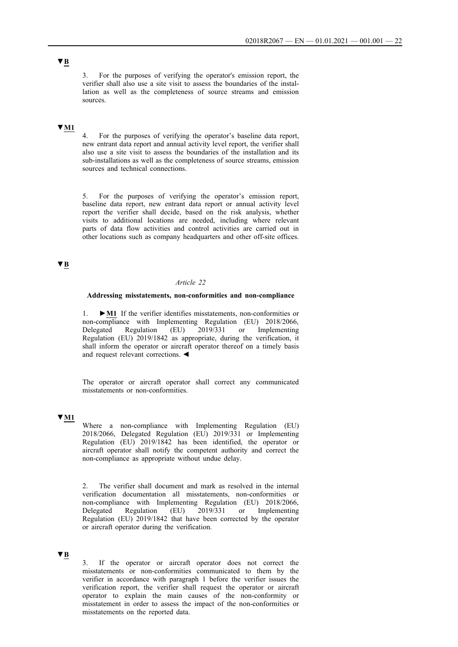3. For the purposes of verifying the operator's emission report, the verifier shall also use a site visit to assess the boundaries of the installation as well as the completeness of source streams and emission sources.

# **▼M1**

4. For the purposes of verifying the operator's baseline data report, new entrant data report and annual activity level report, the verifier shall also use a site visit to assess the boundaries of the installation and its sub-installations as well as the completeness of source streams, emission sources and technical connections.

5. For the purposes of verifying the operator's emission report, baseline data report, new entrant data report or annual activity level report the verifier shall decide, based on the risk analysis, whether visits to additional locations are needed, including where relevant parts of data flow activities and control activities are carried out in other locations such as company headquarters and other off-site offices.

# **▼B**

## *Article 22*

#### **Addressing misstatements, non-conformities and non-compliance**

1. **►M1** If the verifier identifies misstatements, non-conformities or non-compliance with Implementing Regulation (EU) 2018/2066, Delegated Regulation (EU) 2019/331 or Implementing Regulation (EU) 2019/1842 as appropriate, during the verification, it shall inform the operator or aircraft operator thereof on a timely basis and request relevant corrections. ◄

The operator or aircraft operator shall correct any communicated misstatements or non-conformities.

## **▼M1**

Where a non-compliance with Implementing Regulation (EU) 2018/2066, Delegated Regulation (EU) 2019/331 or Implementing Regulation (EU) 2019/1842 has been identified, the operator or aircraft operator shall notify the competent authority and correct the non-compliance as appropriate without undue delay.

2. The verifier shall document and mark as resolved in the internal verification documentation all misstatements, non-conformities or non-compliance with Implementing Regulation (EU) 2018/2066, Delegated Regulation (EU) 2019/331 or Implementing Regulation (EU) 2019/1842 that have been corrected by the operator or aircraft operator during the verification.

## **▼B**

If the operator or aircraft operator does not correct the misstatements or non-conformities communicated to them by the verifier in accordance with paragraph 1 before the verifier issues the verification report, the verifier shall request the operator or aircraft operator to explain the main causes of the non-conformity or misstatement in order to assess the impact of the non-conformities or misstatements on the reported data.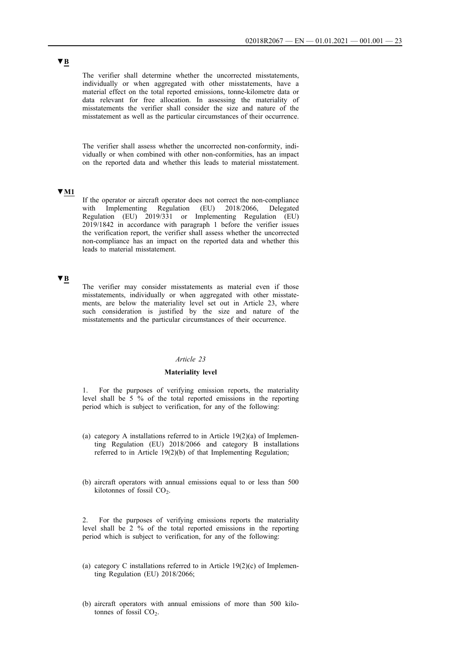The verifier shall determine whether the uncorrected misstatements, individually or when aggregated with other misstatements, have a material effect on the total reported emissions, tonne-kilometre data or data relevant for free allocation. In assessing the materiality of misstatements the verifier shall consider the size and nature of the misstatement as well as the particular circumstances of their occurrence.

The verifier shall assess whether the uncorrected non-conformity, individually or when combined with other non-conformities, has an impact on the reported data and whether this leads to material misstatement.

## **▼M1**

If the operator or aircraft operator does not correct the non-compliance with Implementing Regulation (EU) 2018/2066, Delegated Regulation (EU) 2019/331 or Implementing Regulation (EU) 2019/1842 in accordance with paragraph 1 before the verifier issues the verification report, the verifier shall assess whether the uncorrected non-compliance has an impact on the reported data and whether this leads to material misstatement.

## **▼B**

The verifier may consider misstatements as material even if those misstatements, individually or when aggregated with other misstatements, are below the materiality level set out in Article 23, where such consideration is justified by the size and nature of the misstatements and the particular circumstances of their occurrence.

## *Article 23*

## **Materiality level**

1. For the purposes of verifying emission reports, the materiality level shall be 5 % of the total reported emissions in the reporting period which is subject to verification, for any of the following:

- (a) category A installations referred to in Article  $19(2)(a)$  of Implementing Regulation (EU) 2018/2066 and category B installations referred to in Article 19(2)(b) of that Implementing Regulation;
- (b) aircraft operators with annual emissions equal to or less than 500 kilotonnes of fossil  $CO<sub>2</sub>$ .

2. For the purposes of verifying emissions reports the materiality level shall be 2 % of the total reported emissions in the reporting period which is subject to verification, for any of the following:

- (a) category C installations referred to in Article  $19(2)(c)$  of Implementing Regulation (EU) 2018/2066;
- (b) aircraft operators with annual emissions of more than 500 kilotonnes of fossil  $CO<sub>2</sub>$ .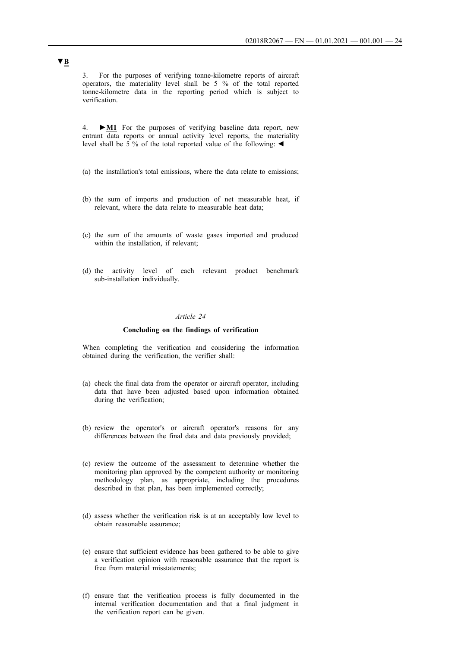3. For the purposes of verifying tonne-kilometre reports of aircraft operators, the materiality level shall be 5 % of the total reported tonne-kilometre data in the reporting period which is subject to verification.

4. **►M1** For the purposes of verifying baseline data report, new entrant data reports or annual activity level reports, the materiality level shall be 5 % of the total reported value of the following: ◄

- (a) the installation's total emissions, where the data relate to emissions;
- (b) the sum of imports and production of net measurable heat, if relevant, where the data relate to measurable heat data;
- (c) the sum of the amounts of waste gases imported and produced within the installation, if relevant;
- (d) the activity level of each relevant product benchmark sub-installation individually.

## *Article 24*

#### **Concluding on the findings of verification**

When completing the verification and considering the information obtained during the verification, the verifier shall:

- (a) check the final data from the operator or aircraft operator, including data that have been adjusted based upon information obtained during the verification;
- (b) review the operator's or aircraft operator's reasons for any differences between the final data and data previously provided;
- (c) review the outcome of the assessment to determine whether the monitoring plan approved by the competent authority or monitoring methodology plan, as appropriate, including the procedures described in that plan, has been implemented correctly;
- (d) assess whether the verification risk is at an acceptably low level to obtain reasonable assurance;
- (e) ensure that sufficient evidence has been gathered to be able to give a verification opinion with reasonable assurance that the report is free from material misstatements;
- (f) ensure that the verification process is fully documented in the internal verification documentation and that a final judgment in the verification report can be given.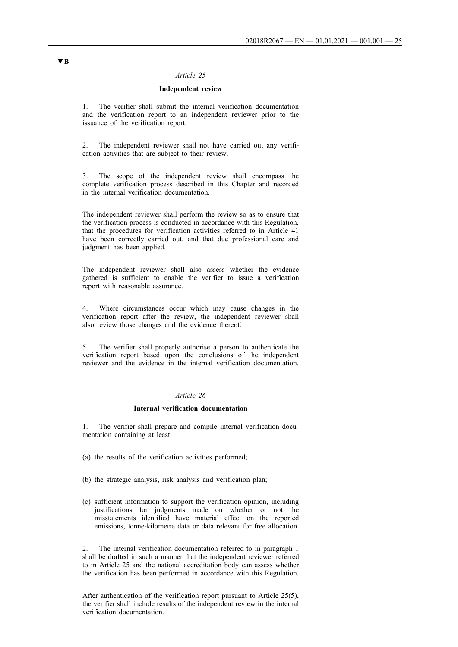## *Article 25*

## **Independent review**

1. The verifier shall submit the internal verification documentation and the verification report to an independent reviewer prior to the issuance of the verification report.

2. The independent reviewer shall not have carried out any verification activities that are subject to their review.

3. The scope of the independent review shall encompass the complete verification process described in this Chapter and recorded in the internal verification documentation.

The independent reviewer shall perform the review so as to ensure that the verification process is conducted in accordance with this Regulation, that the procedures for verification activities referred to in Article 41 have been correctly carried out, and that due professional care and judgment has been applied.

The independent reviewer shall also assess whether the evidence gathered is sufficient to enable the verifier to issue a verification report with reasonable assurance.

4. Where circumstances occur which may cause changes in the verification report after the review, the independent reviewer shall also review those changes and the evidence thereof.

5. The verifier shall properly authorise a person to authenticate the verification report based upon the conclusions of the independent reviewer and the evidence in the internal verification documentation.

### *Article 26*

## **Internal verification documentation**

1. The verifier shall prepare and compile internal verification documentation containing at least:

- (a) the results of the verification activities performed;
- (b) the strategic analysis, risk analysis and verification plan;
- (c) sufficient information to support the verification opinion, including justifications for judgments made on whether or not the misstatements identified have material effect on the reported emissions, tonne-kilometre data or data relevant for free allocation.

2. The internal verification documentation referred to in paragraph 1 shall be drafted in such a manner that the independent reviewer referred to in Article 25 and the national accreditation body can assess whether the verification has been performed in accordance with this Regulation.

After authentication of the verification report pursuant to Article 25(5), the verifier shall include results of the independent review in the internal verification documentation.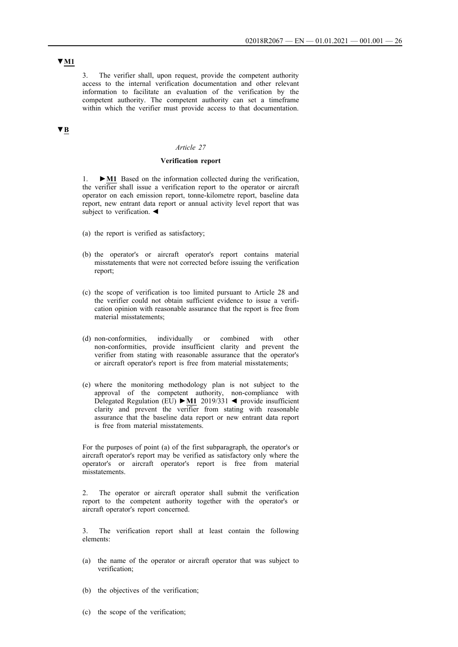**▼M1**

3. The verifier shall, upon request, provide the competent authority access to the internal verification documentation and other relevant information to facilitate an evaluation of the verification by the competent authority. The competent authority can set a timeframe within which the verifier must provide access to that documentation.

# **▼B**

### *Article 27*

#### **Verification report**

1. **►M1** Based on the information collected during the verification, the verifier shall issue a verification report to the operator or aircraft operator on each emission report, tonne-kilometre report, baseline data report, new entrant data report or annual activity level report that was subject to verification.  $\blacktriangleleft$ 

- (a) the report is verified as satisfactory;
- (b) the operator's or aircraft operator's report contains material misstatements that were not corrected before issuing the verification report;
- (c) the scope of verification is too limited pursuant to Article 28 and the verifier could not obtain sufficient evidence to issue a verification opinion with reasonable assurance that the report is free from material misstatements;
- (d) non-conformities, individually or combined with other non-conformities, provide insufficient clarity and prevent the verifier from stating with reasonable assurance that the operator's or aircraft operator's report is free from material misstatements;
- (e) where the monitoring methodology plan is not subject to the approval of the competent authority, non-compliance with Delegated Regulation (EU) **►M1** 2019/331 ◄ provide insufficient clarity and prevent the verifier from stating with reasonable assurance that the baseline data report or new entrant data report is free from material misstatements.

For the purposes of point (a) of the first subparagraph, the operator's or aircraft operator's report may be verified as satisfactory only where the operator's or aircraft operator's report is free from material misstatements.

2. The operator or aircraft operator shall submit the verification report to the competent authority together with the operator's or aircraft operator's report concerned.

3. The verification report shall at least contain the following elements:

- (a) the name of the operator or aircraft operator that was subject to verification;
- (b) the objectives of the verification;
- (c) the scope of the verification;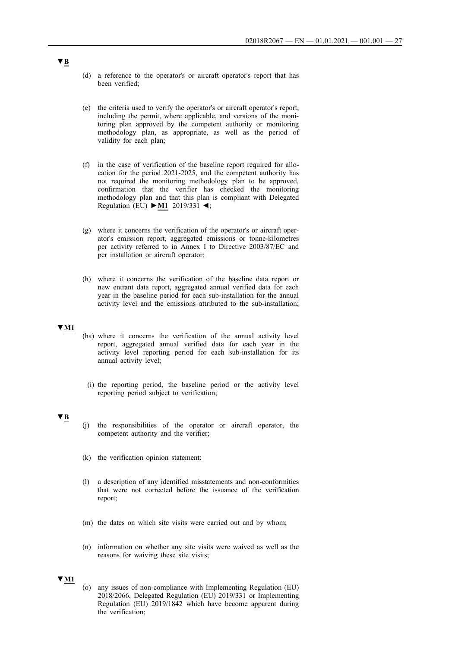- (d) a reference to the operator's or aircraft operator's report that has been verified;
- (e) the criteria used to verify the operator's or aircraft operator's report, including the permit, where applicable, and versions of the monitoring plan approved by the competent authority or monitoring methodology plan, as appropriate, as well as the period of validity for each plan;
- (f) in the case of verification of the baseline report required for allocation for the period 2021-2025, and the competent authority has not required the monitoring methodology plan to be approved, confirmation that the verifier has checked the monitoring methodology plan and that this plan is compliant with Delegated Regulation (EU) **►M1** 2019/331 ◄;
- (g) where it concerns the verification of the operator's or aircraft operator's emission report, aggregated emissions or tonne-kilometres per activity referred to in Annex I to Directive 2003/87/EC and per installation or aircraft operator;
- (h) where it concerns the verification of the baseline data report or new entrant data report, aggregated annual verified data for each year in the baseline period for each sub-installation for the annual activity level and the emissions attributed to the sub-installation;

#### **▼M1**

- (ha) where it concerns the verification of the annual activity level report, aggregated annual verified data for each year in the activity level reporting period for each sub-installation for its annual activity level;
	- (i) the reporting period, the baseline period or the activity level reporting period subject to verification;

## **▼B**

- (j) the responsibilities of the operator or aircraft operator, the competent authority and the verifier;
- (k) the verification opinion statement;
- (l) a description of any identified misstatements and non-conformities that were not corrected before the issuance of the verification report;
- (m) the dates on which site visits were carried out and by whom;
- (n) information on whether any site visits were waived as well as the reasons for waiving these site visits;

# **▼M1**

(o) any issues of non-compliance with Implementing Regulation (EU) 2018/2066, Delegated Regulation (EU) 2019/331 or Implementing Regulation (EU) 2019/1842 which have become apparent during the verification;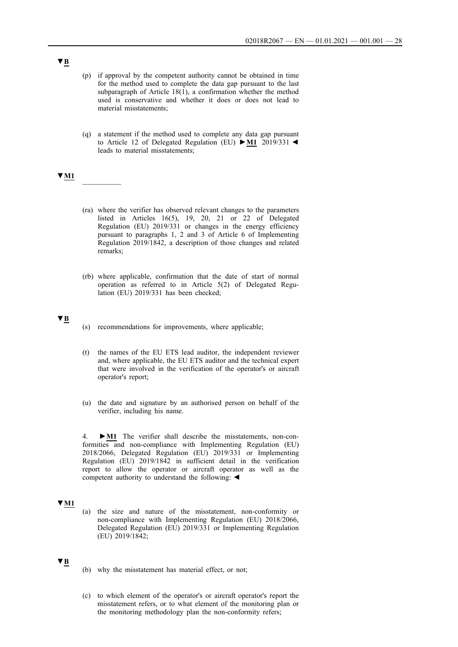- (p) if approval by the competent authority cannot be obtained in time for the method used to complete the data gap pursuant to the last subparagraph of Article 18(1), a confirmation whether the method used is conservative and whether it does or does not lead to material misstatements;
- (q) a statement if the method used to complete any data gap pursuant to Article 12 of Delegated Regulation (EU) **►M1** 2019/331 ◄ leads to material misstatements;

# **▼M1** \_\_\_\_\_\_\_\_\_\_

- (ra) where the verifier has observed relevant changes to the parameters listed in Articles 16(5), 19, 20, 21 or 22 of Delegated Regulation (EU) 2019/331 or changes in the energy efficiency pursuant to paragraphs 1, 2 and 3 of Article 6 of Implementing Regulation 2019/1842, a description of those changes and related remarks;
- (rb) where applicable, confirmation that the date of start of normal operation as referred to in Article 5(2) of Delegated Regulation (EU) 2019/331 has been checked;

## **▼B**

- (s) recommendations for improvements, where applicable;
- (t) the names of the EU ETS lead auditor, the independent reviewer and, where applicable, the EU ETS auditor and the technical expert that were involved in the verification of the operator's or aircraft operator's report;
- (u) the date and signature by an authorised person on behalf of the verifier, including his name.

4. **►M1** The verifier shall describe the misstatements, non-conformities and non-compliance with Implementing Regulation (EU) 2018/2066, Delegated Regulation (EU) 2019/331 or Implementing Regulation (EU) 2019/1842 in sufficient detail in the verification report to allow the operator or aircraft operator as well as the competent authority to understand the following: ◄

# **▼M1**

(a) the size and nature of the misstatement, non-conformity or non-compliance with Implementing Regulation (EU) 2018/2066, Delegated Regulation (EU) 2019/331 or Implementing Regulation (EU) 2019/1842;

#### **▼B**

- (b) why the misstatement has material effect, or not;
- (c) to which element of the operator's or aircraft operator's report the misstatement refers, or to what element of the monitoring plan or the monitoring methodology plan the non-conformity refers;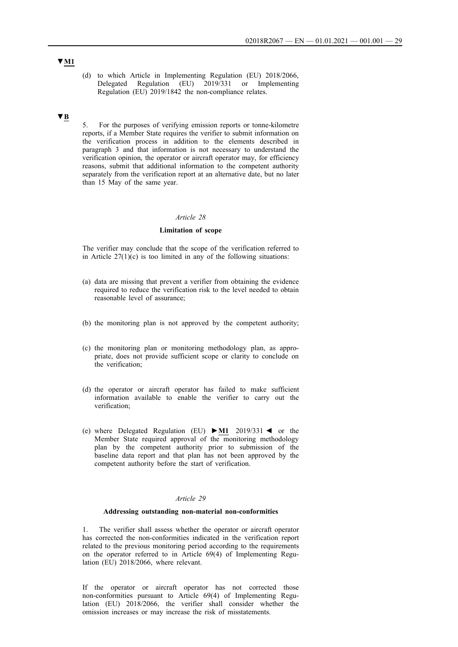(d) to which Article in Implementing Regulation (EU) 2018/2066, Delegated Regulation (EU) 2019/331 or Implementing Regulation (EU) 2019/1842 the non-compliance relates.

## **▼B**

5. For the purposes of verifying emission reports or tonne-kilometre reports, if a Member State requires the verifier to submit information on the verification process in addition to the elements described in paragraph 3 and that information is not necessary to understand the verification opinion, the operator or aircraft operator may, for efficiency reasons, submit that additional information to the competent authority separately from the verification report at an alternative date, but no later than 15 May of the same year.

#### *Article 28*

## **Limitation of scope**

The verifier may conclude that the scope of the verification referred to in Article  $27(1)(c)$  is too limited in any of the following situations:

- (a) data are missing that prevent a verifier from obtaining the evidence required to reduce the verification risk to the level needed to obtain reasonable level of assurance;
- (b) the monitoring plan is not approved by the competent authority;
- (c) the monitoring plan or monitoring methodology plan, as appropriate, does not provide sufficient scope or clarity to conclude on the verification;
- (d) the operator or aircraft operator has failed to make sufficient information available to enable the verifier to carry out the verification;
- (e) where Delegated Regulation (EU) **►M1** 2019/331 ◄ or the Member State required approval of the monitoring methodology plan by the competent authority prior to submission of the baseline data report and that plan has not been approved by the competent authority before the start of verification.

#### *Article 29*

### **Addressing outstanding non-material non-conformities**

1. The verifier shall assess whether the operator or aircraft operator has corrected the non-conformities indicated in the verification report related to the previous monitoring period according to the requirements on the operator referred to in Article 69(4) of Implementing Regulation (EU) 2018/2066, where relevant.

If the operator or aircraft operator has not corrected those non-conformities pursuant to Article 69(4) of Implementing Regulation (EU) 2018/2066, the verifier shall consider whether the omission increases or may increase the risk of misstatements.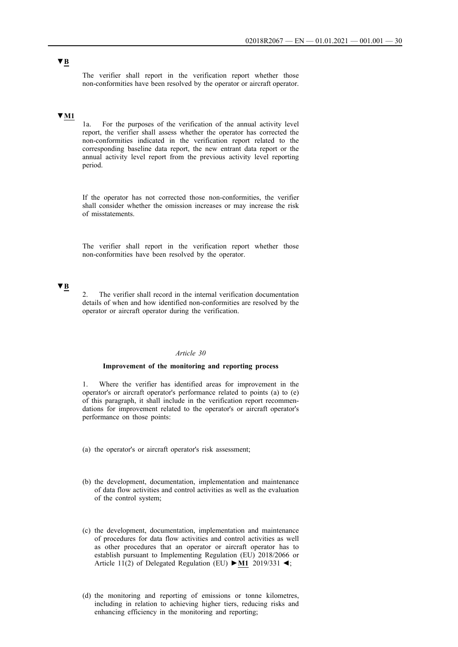The verifier shall report in the verification report whether those non-conformities have been resolved by the operator or aircraft operator.

## **▼M1**

1a. For the purposes of the verification of the annual activity level report, the verifier shall assess whether the operator has corrected the non-conformities indicated in the verification report related to the corresponding baseline data report, the new entrant data report or the annual activity level report from the previous activity level reporting period.

If the operator has not corrected those non-conformities, the verifier shall consider whether the omission increases or may increase the risk of misstatements.

The verifier shall report in the verification report whether those non-conformities have been resolved by the operator.

# **▼B**

2. The verifier shall record in the internal verification documentation details of when and how identified non-conformities are resolved by the operator or aircraft operator during the verification.

#### *Article 30*

## **Improvement of the monitoring and reporting process**

1. Where the verifier has identified areas for improvement in the operator's or aircraft operator's performance related to points (a) to (e) of this paragraph, it shall include in the verification report recommendations for improvement related to the operator's or aircraft operator's performance on those points:

(a) the operator's or aircraft operator's risk assessment;

- (b) the development, documentation, implementation and maintenance of data flow activities and control activities as well as the evaluation of the control system;
- (c) the development, documentation, implementation and maintenance of procedures for data flow activities and control activities as well as other procedures that an operator or aircraft operator has to establish pursuant to Implementing Regulation (EU) 2018/2066 or Article 11(2) of Delegated Regulation (EU) **►M1** 2019/331 ◄;
- (d) the monitoring and reporting of emissions or tonne kilometres, including in relation to achieving higher tiers, reducing risks and enhancing efficiency in the monitoring and reporting;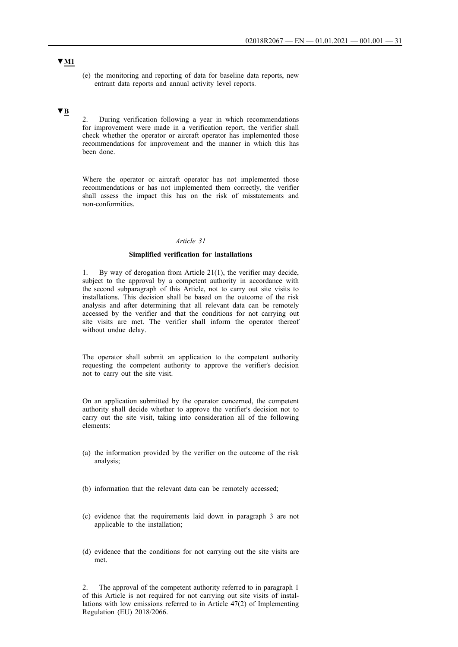(e) the monitoring and reporting of data for baseline data reports, new entrant data reports and annual activity level reports.

# **▼B**

2. During verification following a year in which recommendations for improvement were made in a verification report, the verifier shall check whether the operator or aircraft operator has implemented those recommendations for improvement and the manner in which this has been done.

Where the operator or aircraft operator has not implemented those recommendations or has not implemented them correctly, the verifier shall assess the impact this has on the risk of misstatements and non-conformities.

#### *Article 31*

## **Simplified verification for installations**

1. By way of derogation from Article 21(1), the verifier may decide, subject to the approval by a competent authority in accordance with the second subparagraph of this Article, not to carry out site visits to installations. This decision shall be based on the outcome of the risk analysis and after determining that all relevant data can be remotely accessed by the verifier and that the conditions for not carrying out site visits are met. The verifier shall inform the operator thereof without undue delay.

The operator shall submit an application to the competent authority requesting the competent authority to approve the verifier's decision not to carry out the site visit.

On an application submitted by the operator concerned, the competent authority shall decide whether to approve the verifier's decision not to carry out the site visit, taking into consideration all of the following elements:

- (a) the information provided by the verifier on the outcome of the risk analysis;
- (b) information that the relevant data can be remotely accessed;
- (c) evidence that the requirements laid down in paragraph 3 are not applicable to the installation;
- (d) evidence that the conditions for not carrying out the site visits are met.

2. The approval of the competent authority referred to in paragraph 1 of this Article is not required for not carrying out site visits of installations with low emissions referred to in Article 47(2) of Implementing Regulation (EU) 2018/2066.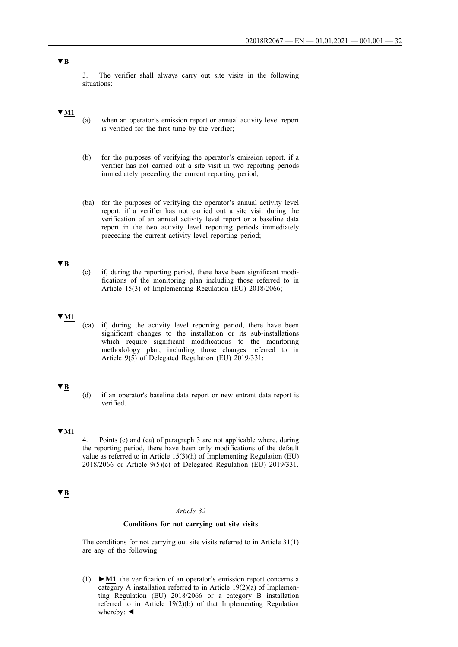3. The verifier shall always carry out site visits in the following situations:

## **▼M1**

- (a) when an operator's emission report or annual activity level report is verified for the first time by the verifier;
- (b) for the purposes of verifying the operator's emission report, if a verifier has not carried out a site visit in two reporting periods immediately preceding the current reporting period;
- (ba) for the purposes of verifying the operator's annual activity level report, if a verifier has not carried out a site visit during the verification of an annual activity level report or a baseline data report in the two activity level reporting periods immediately preceding the current activity level reporting period;

## **▼B**

(c) if, during the reporting period, there have been significant modifications of the monitoring plan including those referred to in Article 15(3) of Implementing Regulation (EU) 2018/2066;

# **▼M1**

(ca) if, during the activity level reporting period, there have been significant changes to the installation or its sub-installations which require significant modifications to the monitoring methodology plan, including those changes referred to in Article 9(5) of Delegated Regulation (EU) 2019/331;

## **▼B**

(d) if an operator's baseline data report or new entrant data report is verified.

# **▼M1**

4. Points (c) and (ca) of paragraph 3 are not applicable where, during the reporting period, there have been only modifications of the default value as referred to in Article 15(3)(h) of Implementing Regulation (EU) 2018/2066 or Article 9(5)(c) of Delegated Regulation (EU) 2019/331.

# **▼B**

### *Article 32*

### **Conditions for not carrying out site visits**

The conditions for not carrying out site visits referred to in Article 31(1) are any of the following:

(1) **►M1** the verification of an operator's emission report concerns a category A installation referred to in Article  $19(2)(a)$  of Implementing Regulation (EU) 2018/2066 or a category B installation referred to in Article 19(2)(b) of that Implementing Regulation whereby: ◄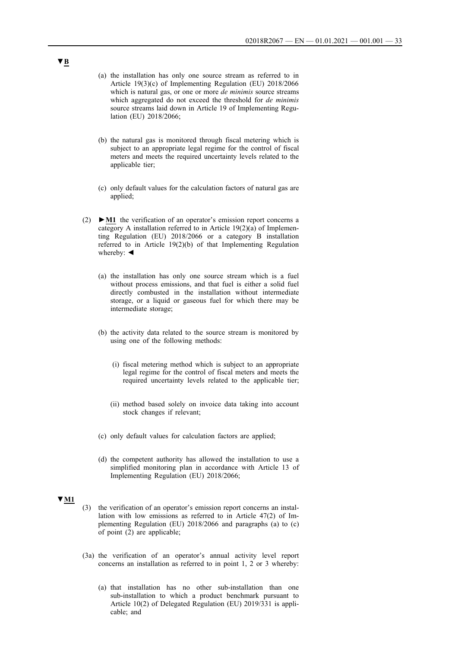- (a) the installation has only one source stream as referred to in Article 19(3)(c) of Implementing Regulation (EU) 2018/2066 which is natural gas, or one or more *de minimis* source streams which aggregated do not exceed the threshold for *de minimis* source streams laid down in Article 19 of Implementing Regulation (EU) 2018/2066;
- (b) the natural gas is monitored through fiscal metering which is subject to an appropriate legal regime for the control of fiscal meters and meets the required uncertainty levels related to the applicable tier;
- (c) only default values for the calculation factors of natural gas are applied;
- (2) **►M1** the verification of an operator's emission report concerns a category A installation referred to in Article 19(2)(a) of Implementing Regulation (EU) 2018/2066 or a category B installation referred to in Article 19(2)(b) of that Implementing Regulation whereby: ◄
	- (a) the installation has only one source stream which is a fuel without process emissions, and that fuel is either a solid fuel directly combusted in the installation without intermediate storage, or a liquid or gaseous fuel for which there may be intermediate storage;
	- (b) the activity data related to the source stream is monitored by using one of the following methods:
		- (i) fiscal metering method which is subject to an appropriate legal regime for the control of fiscal meters and meets the required uncertainty levels related to the applicable tier;
		- (ii) method based solely on invoice data taking into account stock changes if relevant;
	- (c) only default values for calculation factors are applied;
	- (d) the competent authority has allowed the installation to use a simplified monitoring plan in accordance with Article 13 of Implementing Regulation (EU) 2018/2066;

#### **▼M1**

- (3) the verification of an operator's emission report concerns an installation with low emissions as referred to in Article 47(2) of Implementing Regulation (EU) 2018/2066 and paragraphs (a) to (c) of point (2) are applicable;
- (3a) the verification of an operator's annual activity level report concerns an installation as referred to in point 1, 2 or 3 whereby:
	- (a) that installation has no other sub-installation than one sub-installation to which a product benchmark pursuant to Article 10(2) of Delegated Regulation (EU) 2019/331 is applicable; and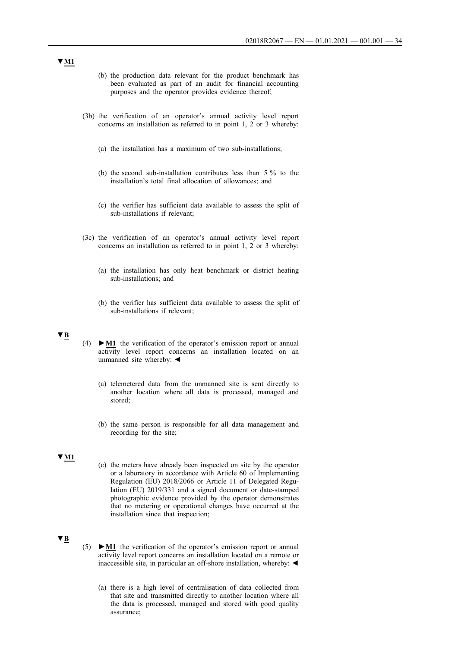- (b) the production data relevant for the product benchmark has been evaluated as part of an audit for financial accounting purposes and the operator provides evidence thereof;
- (3b) the verification of an operator's annual activity level report concerns an installation as referred to in point 1, 2 or 3 whereby:
	- (a) the installation has a maximum of two sub-installations;
	- (b) the second sub-installation contributes less than 5 % to the installation's total final allocation of allowances; and
	- (c) the verifier has sufficient data available to assess the split of sub-installations if relevant;
- (3c) the verification of an operator's annual activity level report concerns an installation as referred to in point 1, 2 or 3 whereby:
	- (a) the installation has only heat benchmark or district heating sub-installations; and
	- (b) the verifier has sufficient data available to assess the split of sub-installations if relevant;

## **▼B**

- (4) **►M1** the verification of the operator's emission report or annual activity level report concerns an installation located on an unmanned site whereby: ◄
	- (a) telemetered data from the unmanned site is sent directly to another location where all data is processed, managed and stored;
	- (b) the same person is responsible for all data management and recording for the site;

## **▼M1**

(c) the meters have already been inspected on site by the operator or a laboratory in accordance with Article 60 of Implementing Regulation (EU) 2018/2066 or Article 11 of Delegated Regulation (EU) 2019/331 and a signed document or date-stamped photographic evidence provided by the operator demonstrates that no metering or operational changes have occurred at the installation since that inspection;

# **▼B**

- (5) **►M1** the verification of the operator's emission report or annual activity level report concerns an installation located on a remote or inaccessible site, in particular an off-shore installation, whereby: ◄
	- (a) there is a high level of centralisation of data collected from that site and transmitted directly to another location where all the data is processed, managed and stored with good quality assurance;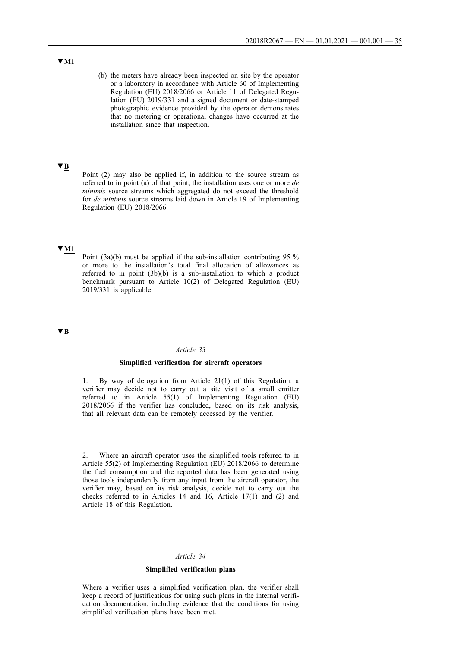(b) the meters have already been inspected on site by the operator or a laboratory in accordance with Article 60 of Implementing Regulation (EU) 2018/2066 or Article 11 of Delegated Regulation (EU) 2019/331 and a signed document or date-stamped photographic evidence provided by the operator demonstrates that no metering or operational changes have occurred at the installation since that inspection.

# **▼B**

Point (2) may also be applied if, in addition to the source stream as referred to in point (a) of that point, the installation uses one or more *de minimis* source streams which aggregated do not exceed the threshold for *de minimis* source streams laid down in Article 19 of Implementing Regulation (EU) 2018/2066.

## **▼M1**

Point (3a)(b) must be applied if the sub-installation contributing 95 % or more to the installation's total final allocation of allowances as referred to in point (3b)(b) is a sub-installation to which a product benchmark pursuant to Article 10(2) of Delegated Regulation (EU) 2019/331 is applicable.

## **▼B**

## *Article 33*

## **Simplified verification for aircraft operators**

1. By way of derogation from Article 21(1) of this Regulation, a verifier may decide not to carry out a site visit of a small emitter referred to in Article 55(1) of Implementing Regulation (EU) 2018/2066 if the verifier has concluded, based on its risk analysis, that all relevant data can be remotely accessed by the verifier.

2. Where an aircraft operator uses the simplified tools referred to in Article 55(2) of Implementing Regulation (EU) 2018/2066 to determine the fuel consumption and the reported data has been generated using those tools independently from any input from the aircraft operator, the verifier may, based on its risk analysis, decide not to carry out the checks referred to in Articles 14 and 16, Article 17(1) and (2) and Article 18 of this Regulation.

#### *Article 34*

## **Simplified verification plans**

Where a verifier uses a simplified verification plan, the verifier shall keep a record of justifications for using such plans in the internal verification documentation, including evidence that the conditions for using simplified verification plans have been met.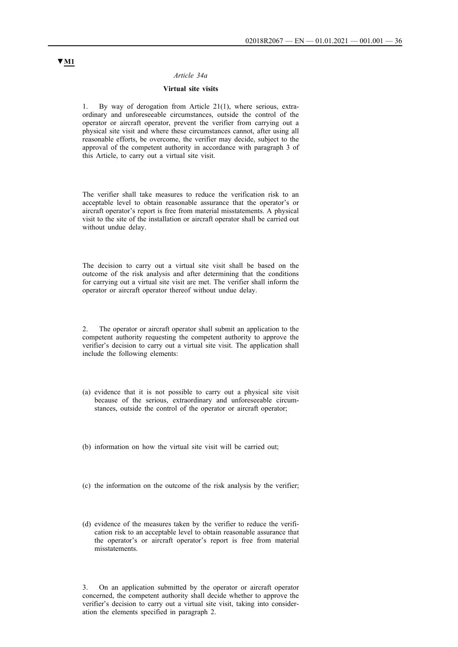### *Article 34a*

## **Virtual site visits**

1. By way of derogation from Article 21(1), where serious, extraordinary and unforeseeable circumstances, outside the control of the operator or aircraft operator, prevent the verifier from carrying out a physical site visit and where these circumstances cannot, after using all reasonable efforts, be overcome, the verifier may decide, subject to the approval of the competent authority in accordance with paragraph 3 of this Article, to carry out a virtual site visit.

The verifier shall take measures to reduce the verification risk to an acceptable level to obtain reasonable assurance that the operator's or aircraft operator's report is free from material misstatements. A physical visit to the site of the installation or aircraft operator shall be carried out without undue delay.

The decision to carry out a virtual site visit shall be based on the outcome of the risk analysis and after determining that the conditions for carrying out a virtual site visit are met. The verifier shall inform the operator or aircraft operator thereof without undue delay.

2. The operator or aircraft operator shall submit an application to the competent authority requesting the competent authority to approve the verifier's decision to carry out a virtual site visit. The application shall include the following elements:

- (a) evidence that it is not possible to carry out a physical site visit because of the serious, extraordinary and unforeseeable circumstances, outside the control of the operator or aircraft operator;
- (b) information on how the virtual site visit will be carried out;
- (c) the information on the outcome of the risk analysis by the verifier;
- (d) evidence of the measures taken by the verifier to reduce the verification risk to an acceptable level to obtain reasonable assurance that the operator's or aircraft operator's report is free from material misstatements.

3. On an application submitted by the operator or aircraft operator concerned, the competent authority shall decide whether to approve the verifier's decision to carry out a virtual site visit, taking into consideration the elements specified in paragraph 2.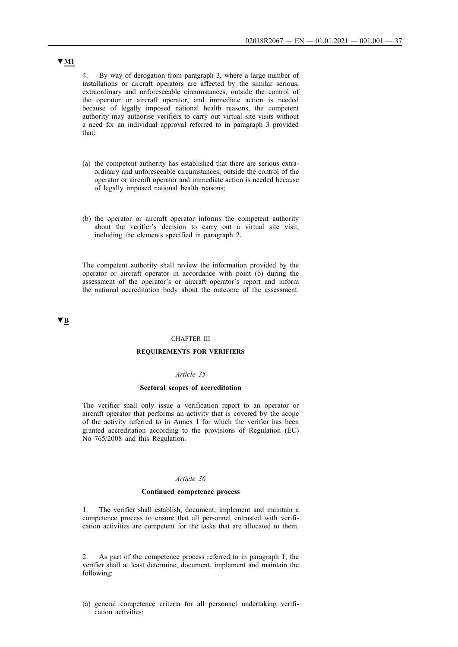4. By way of derogation from paragraph 3, where a large number of installations or aircraft operators are affected by the similar serious, extraordinary and unforeseeable circumstances, outside the control of the operator or aircraft operator, and immediate action is needed because of legally imposed national health reasons, the competent authority may authorise verifiers to carry out virtual site visits without a need for an individual approval referred to in paragraph 3 provided that:

- (a) the competent authority has established that there are serious extraordinary and unforeseeable circumstances, outside the control of the operator or aircraft operator and immediate action is needed because of legally imposed national health reasons;
- (b) the operator or aircraft operator informs the competent authority about the verifier's decision to carry out a virtual site visit, including the elements specified in paragraph 2.

The competent authority shall review the information provided by the operator or aircraft operator in accordance with point (b) during the assessment of the operator's or aircraft operator's report and inform the national accreditation body about the outcome of the assessment.

**▼B**

## CHAPTER III

#### **REQUIREMENTS FOR VERIFIERS**

## *Article 35*

#### **Sectoral scopes of accreditation**

The verifier shall only issue a verification report to an operator or aircraft operator that performs an activity that is covered by the scope of the activity referred to in Annex I for which the verifier has been granted accreditation according to the provisions of Regulation (EC) No 765/2008 and this Regulation.

#### *Article 36*

#### **Continued competence process**

1. The verifier shall establish, document, implement and maintain a competence process to ensure that all personnel entrusted with verification activities are competent for the tasks that are allocated to them.

2. As part of the competence process referred to in paragraph 1, the verifier shall at least determine, document, implement and maintain the following:

(a) general competence criteria for all personnel undertaking verification activities;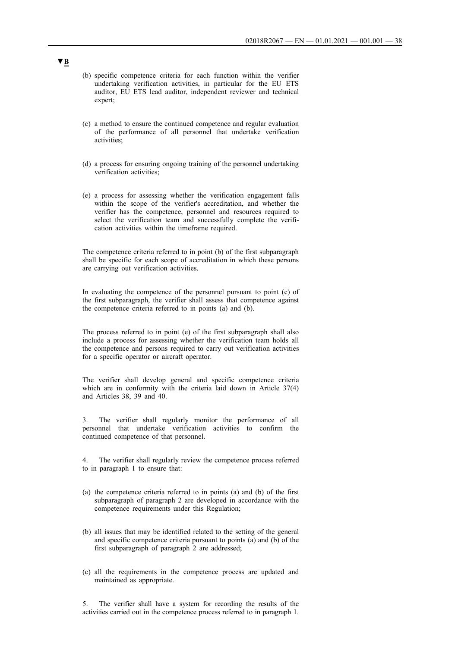- (b) specific competence criteria for each function within the verifier undertaking verification activities, in particular for the EU ETS auditor, EU ETS lead auditor, independent reviewer and technical expert;
- (c) a method to ensure the continued competence and regular evaluation of the performance of all personnel that undertake verification activities;
- (d) a process for ensuring ongoing training of the personnel undertaking verification activities;
- (e) a process for assessing whether the verification engagement falls within the scope of the verifier's accreditation, and whether the verifier has the competence, personnel and resources required to select the verification team and successfully complete the verification activities within the timeframe required.

The competence criteria referred to in point (b) of the first subparagraph shall be specific for each scope of accreditation in which these persons are carrying out verification activities.

In evaluating the competence of the personnel pursuant to point (c) of the first subparagraph, the verifier shall assess that competence against the competence criteria referred to in points (a) and (b).

The process referred to in point (e) of the first subparagraph shall also include a process for assessing whether the verification team holds all the competence and persons required to carry out verification activities for a specific operator or aircraft operator.

The verifier shall develop general and specific competence criteria which are in conformity with the criteria laid down in Article 37(4) and Articles 38, 39 and 40.

3. The verifier shall regularly monitor the performance of all personnel that undertake verification activities to confirm the continued competence of that personnel.

4. The verifier shall regularly review the competence process referred to in paragraph 1 to ensure that:

- (a) the competence criteria referred to in points (a) and (b) of the first subparagraph of paragraph 2 are developed in accordance with the competence requirements under this Regulation;
- (b) all issues that may be identified related to the setting of the general and specific competence criteria pursuant to points (a) and (b) of the first subparagraph of paragraph 2 are addressed;
- (c) all the requirements in the competence process are updated and maintained as appropriate.

5. The verifier shall have a system for recording the results of the activities carried out in the competence process referred to in paragraph 1.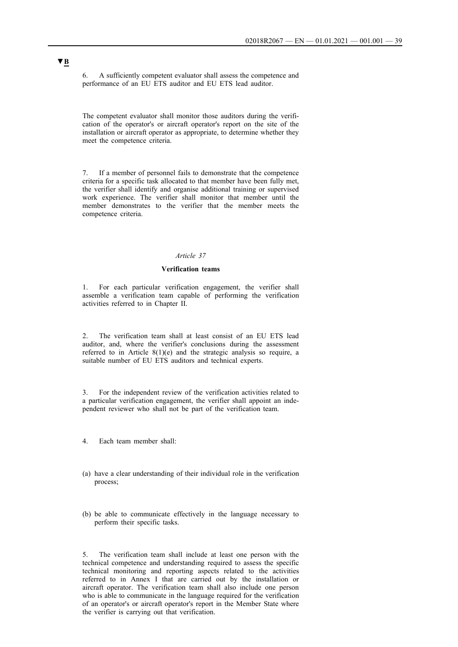6. A sufficiently competent evaluator shall assess the competence and performance of an EU ETS auditor and EU ETS lead auditor.

The competent evaluator shall monitor those auditors during the verification of the operator's or aircraft operator's report on the site of the installation or aircraft operator as appropriate, to determine whether they meet the competence criteria.

7. If a member of personnel fails to demonstrate that the competence criteria for a specific task allocated to that member have been fully met, the verifier shall identify and organise additional training or supervised work experience. The verifier shall monitor that member until the member demonstrates to the verifier that the member meets the competence criteria.

## *Article 37*

#### **Verification teams**

1. For each particular verification engagement, the verifier shall assemble a verification team capable of performing the verification activities referred to in Chapter II.

2. The verification team shall at least consist of an EU ETS lead auditor, and, where the verifier's conclusions during the assessment referred to in Article 8(1)(e) and the strategic analysis so require, a suitable number of EU ETS auditors and technical experts.

3. For the independent review of the verification activities related to a particular verification engagement, the verifier shall appoint an independent reviewer who shall not be part of the verification team.

4. Each team member shall:

- (a) have a clear understanding of their individual role in the verification process;
- (b) be able to communicate effectively in the language necessary to perform their specific tasks.

5. The verification team shall include at least one person with the technical competence and understanding required to assess the specific technical monitoring and reporting aspects related to the activities referred to in Annex I that are carried out by the installation or aircraft operator. The verification team shall also include one person who is able to communicate in the language required for the verification of an operator's or aircraft operator's report in the Member State where the verifier is carrying out that verification.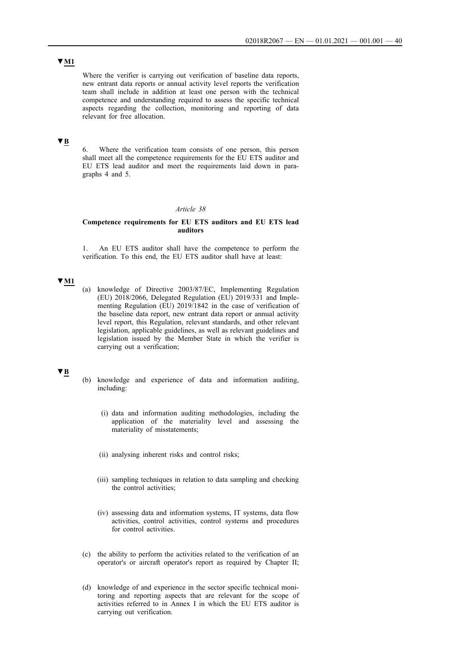# **▼M1**

Where the verifier is carrying out verification of baseline data reports, new entrant data reports or annual activity level reports the verification team shall include in addition at least one person with the technical competence and understanding required to assess the specific technical aspects regarding the collection, monitoring and reporting of data relevant for free allocation.

# **▼B**

6. Where the verification team consists of one person, this person shall meet all the competence requirements for the EU ETS auditor and EU ETS lead auditor and meet the requirements laid down in paragraphs 4 and 5.

### *Article 38*

## **Competence requirements for EU ETS auditors and EU ETS lead auditors**

1. An EU ETS auditor shall have the competence to perform the verification. To this end, the EU ETS auditor shall have at least:

# **▼M1**

(a) knowledge of Directive 2003/87/EC, Implementing Regulation (EU) 2018/2066, Delegated Regulation (EU) 2019/331 and Implementing Regulation (EU) 2019/1842 in the case of verification of the baseline data report, new entrant data report or annual activity level report, this Regulation, relevant standards, and other relevant legislation, applicable guidelines, as well as relevant guidelines and legislation issued by the Member State in which the verifier is carrying out a verification;

- (b) knowledge and experience of data and information auditing, including:
	- (i) data and information auditing methodologies, including the application of the materiality level and assessing the materiality of misstatements;
	- (ii) analysing inherent risks and control risks;
	- (iii) sampling techniques in relation to data sampling and checking the control activities;
	- (iv) assessing data and information systems, IT systems, data flow activities, control activities, control systems and procedures for control activities.
- (c) the ability to perform the activities related to the verification of an operator's or aircraft operator's report as required by Chapter II;
- (d) knowledge of and experience in the sector specific technical monitoring and reporting aspects that are relevant for the scope of activities referred to in Annex I in which the EU ETS auditor is carrying out verification.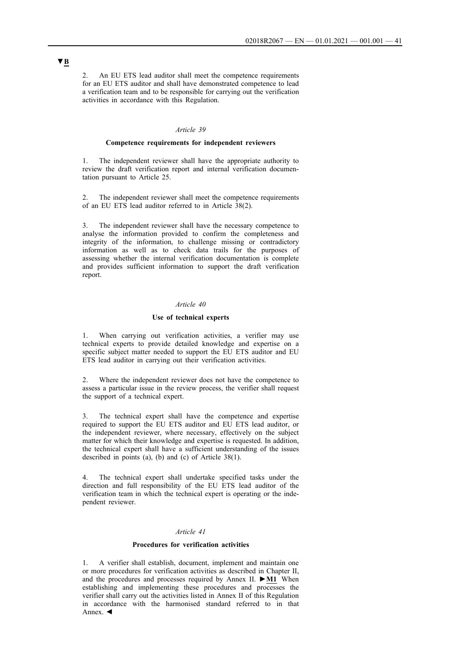2. An EU ETS lead auditor shall meet the competence requirements for an EU ETS auditor and shall have demonstrated competence to lead a verification team and to be responsible for carrying out the verification activities in accordance with this Regulation.

## *Article 39*

### **Competence requirements for independent reviewers**

1. The independent reviewer shall have the appropriate authority to review the draft verification report and internal verification documentation pursuant to Article 25.

2. The independent reviewer shall meet the competence requirements of an EU ETS lead auditor referred to in Article 38(2).

3. The independent reviewer shall have the necessary competence to analyse the information provided to confirm the completeness and integrity of the information, to challenge missing or contradictory information as well as to check data trails for the purposes of assessing whether the internal verification documentation is complete and provides sufficient information to support the draft verification report.

#### *Article 40*

## **Use of technical experts**

1. When carrying out verification activities, a verifier may use technical experts to provide detailed knowledge and expertise on a specific subject matter needed to support the EU ETS auditor and EU ETS lead auditor in carrying out their verification activities.

2. Where the independent reviewer does not have the competence to assess a particular issue in the review process, the verifier shall request the support of a technical expert.

3. The technical expert shall have the competence and expertise required to support the EU ETS auditor and EU ETS lead auditor, or the independent reviewer, where necessary, effectively on the subject matter for which their knowledge and expertise is requested. In addition, the technical expert shall have a sufficient understanding of the issues described in points (a), (b) and (c) of Article 38(1).

The technical expert shall undertake specified tasks under the direction and full responsibility of the EU ETS lead auditor of the verification team in which the technical expert is operating or the independent reviewer.

## *Article 41*

#### **Procedures for verification activities**

1. A verifier shall establish, document, implement and maintain one or more procedures for verification activities as described in Chapter II, and the procedures and processes required by Annex II. **►M1** When establishing and implementing these procedures and processes the verifier shall carry out the activities listed in Annex II of this Regulation in accordance with the harmonised standard referred to in that Annex. ◄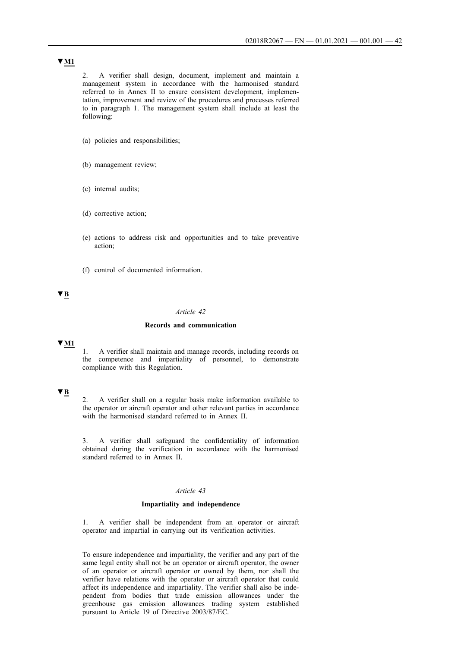2. A verifier shall design, document, implement and maintain a management system in accordance with the harmonised standard referred to in Annex II to ensure consistent development, implementation, improvement and review of the procedures and processes referred to in paragraph 1. The management system shall include at least the following:

- (a) policies and responsibilities;
- (b) management review;
- (c) internal audits;
- (d) corrective action;
- (e) actions to address risk and opportunities and to take preventive action;
- (f) control of documented information.

# **▼B**

## *Article 42*

#### **Records and communication**

## **▼M1**

1. A verifier shall maintain and manage records, including records on the competence and impartiality of personnel, to demonstrate compliance with this Regulation.

# **▼B**

2. A verifier shall on a regular basis make information available to the operator or aircraft operator and other relevant parties in accordance with the harmonised standard referred to in Annex II.

3. A verifier shall safeguard the confidentiality of information obtained during the verification in accordance with the harmonised standard referred to in Annex II.

## *Article 43*

#### **Impartiality and independence**

1. A verifier shall be independent from an operator or aircraft operator and impartial in carrying out its verification activities.

To ensure independence and impartiality, the verifier and any part of the same legal entity shall not be an operator or aircraft operator, the owner of an operator or aircraft operator or owned by them, nor shall the verifier have relations with the operator or aircraft operator that could affect its independence and impartiality. The verifier shall also be independent from bodies that trade emission allowances under the greenhouse gas emission allowances trading system established pursuant to Article 19 of Directive 2003/87/EC.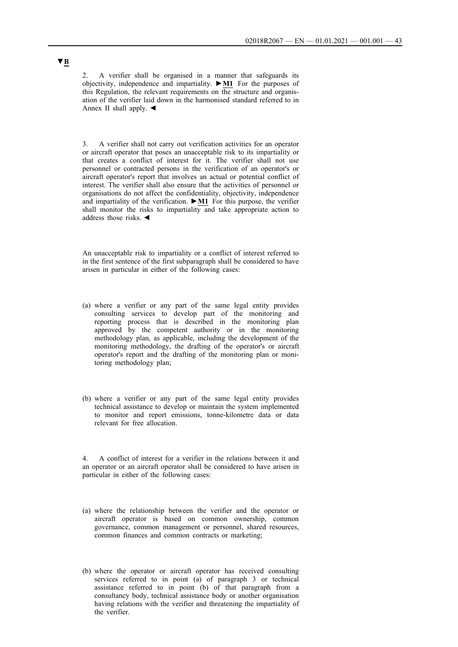2. A verifier shall be organised in a manner that safeguards its objectivity, independence and impartiality. **►M1** For the purposes of this Regulation, the relevant requirements on the structure and organisation of the verifier laid down in the harmonised standard referred to in Annex II shall apply. ◄

3. A verifier shall not carry out verification activities for an operator or aircraft operator that poses an unacceptable risk to its impartiality or that creates a conflict of interest for it. The verifier shall not use personnel or contracted persons in the verification of an operator's or aircraft operator's report that involves an actual or potential conflict of interest. The verifier shall also ensure that the activities of personnel or organisations do not affect the confidentiality, objectivity, independence and impartiality of the verification. **►M1** For this purpose, the verifier shall monitor the risks to impartiality and take appropriate action to address those risks. ◄

An unacceptable risk to impartiality or a conflict of interest referred to in the first sentence of the first subparagraph shall be considered to have arisen in particular in either of the following cases:

- (a) where a verifier or any part of the same legal entity provides consulting services to develop part of the monitoring and reporting process that is described in the monitoring plan approved by the competent authority or in the monitoring methodology plan, as applicable, including the development of the monitoring methodology, the drafting of the operator's or aircraft operator's report and the drafting of the monitoring plan or monitoring methodology plan;
- (b) where a verifier or any part of the same legal entity provides technical assistance to develop or maintain the system implemented to monitor and report emissions, tonne-kilometre data or data relevant for free allocation.

4. A conflict of interest for a verifier in the relations between it and an operator or an aircraft operator shall be considered to have arisen in particular in either of the following cases:

- (a) where the relationship between the verifier and the operator or aircraft operator is based on common ownership, common governance, common management or personnel, shared resources, common finances and common contracts or marketing;
- (b) where the operator or aircraft operator has received consulting services referred to in point (a) of paragraph 3 or technical assistance referred to in point (b) of that paragraph from a consultancy body, technical assistance body or another organisation having relations with the verifier and threatening the impartiality of the verifier.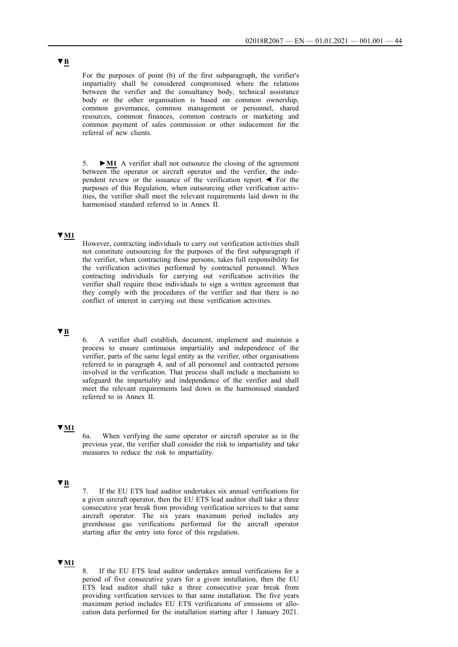For the purposes of point (b) of the first subparagraph, the verifier's impartiality shall be considered compromised where the relations between the verifier and the consultancy body, technical assistance body or the other organisation is based on common ownership, common governance, common management or personnel, shared resources, common finances, common contracts or marketing and common payment of sales commission or other inducement for the referral of new clients.

5. **►M1** A verifier shall not outsource the closing of the agreement between the operator or aircraft operator and the verifier, the independent review or the issuance of the verification report. ◄ For the purposes of this Regulation, when outsourcing other verification activities, the verifier shall meet the relevant requirements laid down in the harmonised standard referred to in Annex II.

## **▼M1**

However, contracting individuals to carry out verification activities shall not constitute outsourcing for the purposes of the first subparagraph if the verifier, when contracting those persons, takes full responsibility for the verification activities performed by contracted personnel. When contracting individuals for carrying out verification activities the verifier shall require these individuals to sign a written agreement that they comply with the procedures of the verifier and that there is no conflict of interest in carrying out these verification activities.

## **▼B**

6. A verifier shall establish, document, implement and maintain a process to ensure continuous impartiality and independence of the verifier, parts of the same legal entity as the verifier, other organisations referred to in paragraph 4, and of all personnel and contracted persons involved in the verification. That process shall include a mechanism to safeguard the impartiality and independence of the verifier and shall meet the relevant requirements laid down in the harmonised standard referred to in Annex II.

## **▼M1**

6a. When verifying the same operator or aircraft operator as in the previous year, the verifier shall consider the risk to impartiality and take measures to reduce the risk to impartiality.

## **▼B**

7. If the EU ETS lead auditor undertakes six annual verifications for a given aircraft operator, then the EU ETS lead auditor shall take a three consecutive year break from providing verification services to that same aircraft operator. The six years maximum period includes any greenhouse gas verifications performed for the aircraft operator starting after the entry into force of this regulation.

## **▼M1**

8. If the EU ETS lead auditor undertakes annual verifications for a period of five consecutive years for a given installation, then the EU ETS lead auditor shall take a three consecutive year break from providing verification services to that same installation. The five years maximum period includes EU ETS verifications of emissions or allocation data performed for the installation starting after 1 January 2021.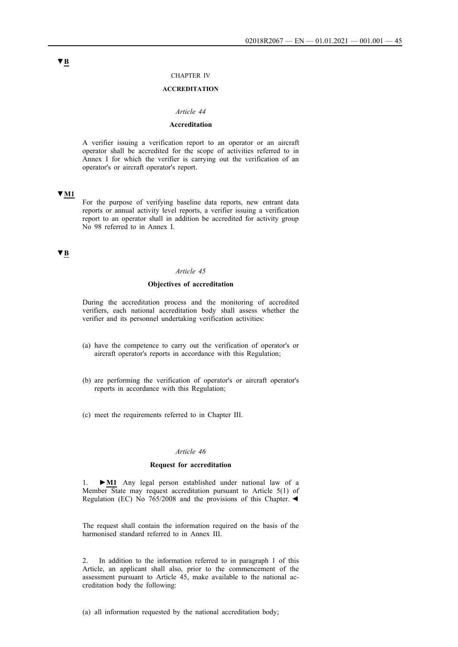#### CHAPTER IV

## **ACCREDITATION**

#### *Article 44*

## **Accreditation**

A verifier issuing a verification report to an operator or an aircraft operator shall be accredited for the scope of activities referred to in Annex I for which the verifier is carrying out the verification of an operator's or aircraft operator's report.

## **▼M1**

For the purpose of verifying baseline data reports, new entrant data reports or annual activity level reports, a verifier issuing a verification report to an operator shall in addition be accredited for activity group No 98 referred to in Annex I.

## **▼B**

#### *Article 45*

## **Objectives of accreditation**

During the accreditation process and the monitoring of accredited verifiers, each national accreditation body shall assess whether the verifier and its personnel undertaking verification activities:

- (a) have the competence to carry out the verification of operator's or aircraft operator's reports in accordance with this Regulation;
- (b) are performing the verification of operator's or aircraft operator's reports in accordance with this Regulation;
- (c) meet the requirements referred to in Chapter III.

## *Article 46*

#### **Request for accreditation**

1. **►M1** Any legal person established under national law of a Member State may request accreditation pursuant to Article 5(1) of Regulation (EC) No 765/2008 and the provisions of this Chapter. ◄

The request shall contain the information required on the basis of the harmonised standard referred to in Annex III.

2. In addition to the information referred to in paragraph 1 of this Article, an applicant shall also, prior to the commencement of the assessment pursuant to Article 45, make available to the national accreditation body the following:

(a) all information requested by the national accreditation body;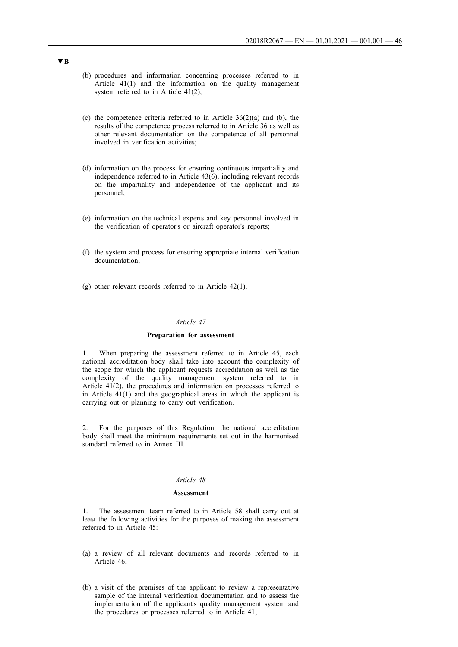- (b) procedures and information concerning processes referred to in Article 41(1) and the information on the quality management system referred to in Article 41(2);
- (c) the competence criteria referred to in Article  $36(2)(a)$  and (b), the results of the competence process referred to in Article 36 as well as other relevant documentation on the competence of all personnel involved in verification activities;
- (d) information on the process for ensuring continuous impartiality and independence referred to in Article 43(6), including relevant records on the impartiality and independence of the applicant and its personnel;
- (e) information on the technical experts and key personnel involved in the verification of operator's or aircraft operator's reports;
- (f) the system and process for ensuring appropriate internal verification documentation;
- (g) other relevant records referred to in Article 42(1).

#### *Article 47*

#### **Preparation for assessment**

1. When preparing the assessment referred to in Article 45, each national accreditation body shall take into account the complexity of the scope for which the applicant requests accreditation as well as the complexity of the quality management system referred to in Article 41(2), the procedures and information on processes referred to in Article 41(1) and the geographical areas in which the applicant is carrying out or planning to carry out verification.

2. For the purposes of this Regulation, the national accreditation body shall meet the minimum requirements set out in the harmonised standard referred to in Annex III.

## *Article 48*

#### **Assessment**

1. The assessment team referred to in Article 58 shall carry out at least the following activities for the purposes of making the assessment referred to in Article 45:

- (a) a review of all relevant documents and records referred to in Article 46;
- (b) a visit of the premises of the applicant to review a representative sample of the internal verification documentation and to assess the implementation of the applicant's quality management system and the procedures or processes referred to in Article 41;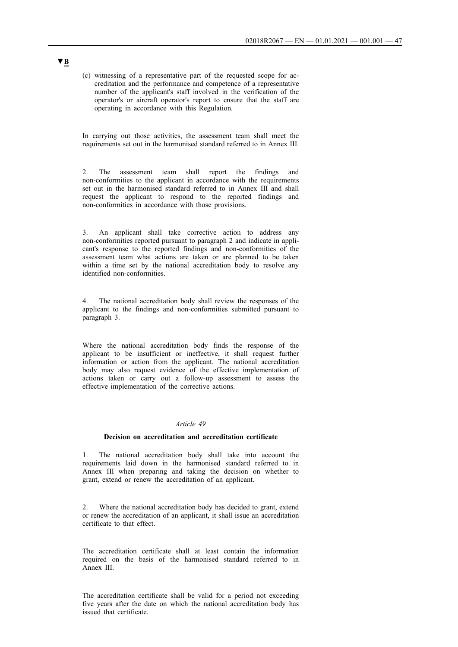(c) witnessing of a representative part of the requested scope for accreditation and the performance and competence of a representative number of the applicant's staff involved in the verification of the operator's or aircraft operator's report to ensure that the staff are operating in accordance with this Regulation.

In carrying out those activities, the assessment team shall meet the requirements set out in the harmonised standard referred to in Annex III.

2. The assessment team shall report the findings and non-conformities to the applicant in accordance with the requirements set out in the harmonised standard referred to in Annex III and shall request the applicant to respond to the reported findings and non-conformities in accordance with those provisions.

3. An applicant shall take corrective action to address any non-conformities reported pursuant to paragraph 2 and indicate in applicant's response to the reported findings and non-conformities of the assessment team what actions are taken or are planned to be taken within a time set by the national accreditation body to resolve any identified non-conformities.

4. The national accreditation body shall review the responses of the applicant to the findings and non-conformities submitted pursuant to paragraph 3.

Where the national accreditation body finds the response of the applicant to be insufficient or ineffective, it shall request further information or action from the applicant. The national accreditation body may also request evidence of the effective implementation of actions taken or carry out a follow-up assessment to assess the effective implementation of the corrective actions.

## *Article 49*

#### **Decision on accreditation and accreditation certificate**

1. The national accreditation body shall take into account the requirements laid down in the harmonised standard referred to in Annex III when preparing and taking the decision on whether to grant, extend or renew the accreditation of an applicant.

2. Where the national accreditation body has decided to grant, extend or renew the accreditation of an applicant, it shall issue an accreditation certificate to that effect.

The accreditation certificate shall at least contain the information required on the basis of the harmonised standard referred to in Annex III.

The accreditation certificate shall be valid for a period not exceeding five years after the date on which the national accreditation body has issued that certificate.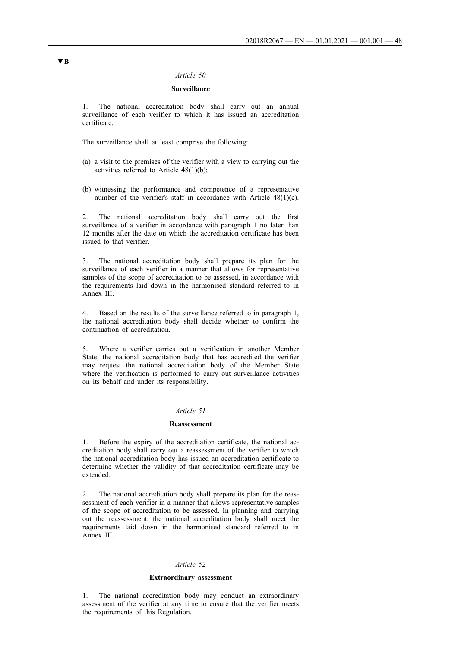### *Article 50*

## **Surveillance**

1. The national accreditation body shall carry out an annual surveillance of each verifier to which it has issued an accreditation certificate.

The surveillance shall at least comprise the following:

- (a) a visit to the premises of the verifier with a view to carrying out the activities referred to Article 48(1)(b);
- (b) witnessing the performance and competence of a representative number of the verifier's staff in accordance with Article 48(1)(c).

2. The national accreditation body shall carry out the first surveillance of a verifier in accordance with paragraph 1 no later than 12 months after the date on which the accreditation certificate has been issued to that verifier.

3. The national accreditation body shall prepare its plan for the surveillance of each verifier in a manner that allows for representative samples of the scope of accreditation to be assessed, in accordance with the requirements laid down in the harmonised standard referred to in Annex III.

4. Based on the results of the surveillance referred to in paragraph 1, the national accreditation body shall decide whether to confirm the continuation of accreditation.

5. Where a verifier carries out a verification in another Member State, the national accreditation body that has accredited the verifier may request the national accreditation body of the Member State where the verification is performed to carry out surveillance activities on its behalf and under its responsibility.

#### *Article 51*

#### **Reassessment**

1. Before the expiry of the accreditation certificate, the national accreditation body shall carry out a reassessment of the verifier to which the national accreditation body has issued an accreditation certificate to determine whether the validity of that accreditation certificate may be extended.

2. The national accreditation body shall prepare its plan for the reassessment of each verifier in a manner that allows representative samples of the scope of accreditation to be assessed. In planning and carrying out the reassessment, the national accreditation body shall meet the requirements laid down in the harmonised standard referred to in Annex III.

#### *Article 52*

#### **Extraordinary assessment**

1. The national accreditation body may conduct an extraordinary assessment of the verifier at any time to ensure that the verifier meets the requirements of this Regulation.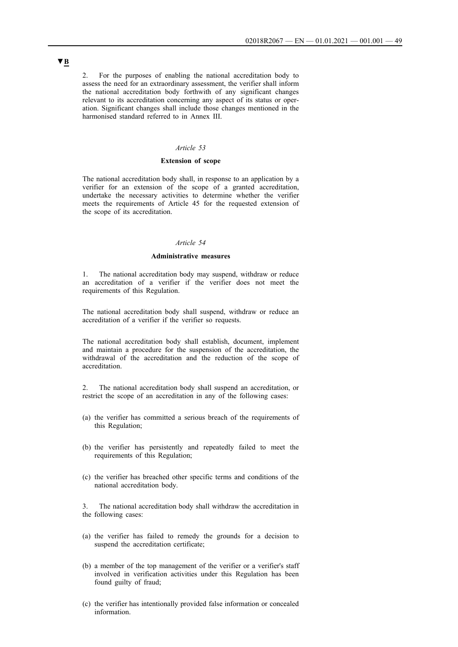2. For the purposes of enabling the national accreditation body to assess the need for an extraordinary assessment, the verifier shall inform the national accreditation body forthwith of any significant changes relevant to its accreditation concerning any aspect of its status or operation. Significant changes shall include those changes mentioned in the harmonised standard referred to in Annex III.

## *Article 53*

## **Extension of scope**

The national accreditation body shall, in response to an application by a verifier for an extension of the scope of a granted accreditation, undertake the necessary activities to determine whether the verifier meets the requirements of Article 45 for the requested extension of the scope of its accreditation.

#### *Article 54*

## **Administrative measures**

1. The national accreditation body may suspend, withdraw or reduce an accreditation of a verifier if the verifier does not meet the requirements of this Regulation.

The national accreditation body shall suspend, withdraw or reduce an accreditation of a verifier if the verifier so requests.

The national accreditation body shall establish, document, implement and maintain a procedure for the suspension of the accreditation, the withdrawal of the accreditation and the reduction of the scope of accreditation.

2. The national accreditation body shall suspend an accreditation, or restrict the scope of an accreditation in any of the following cases:

- (a) the verifier has committed a serious breach of the requirements of this Regulation;
- (b) the verifier has persistently and repeatedly failed to meet the requirements of this Regulation;
- (c) the verifier has breached other specific terms and conditions of the national accreditation body.

3. The national accreditation body shall withdraw the accreditation in the following cases:

- (a) the verifier has failed to remedy the grounds for a decision to suspend the accreditation certificate;
- (b) a member of the top management of the verifier or a verifier's staff involved in verification activities under this Regulation has been found guilty of fraud;
- (c) the verifier has intentionally provided false information or concealed information.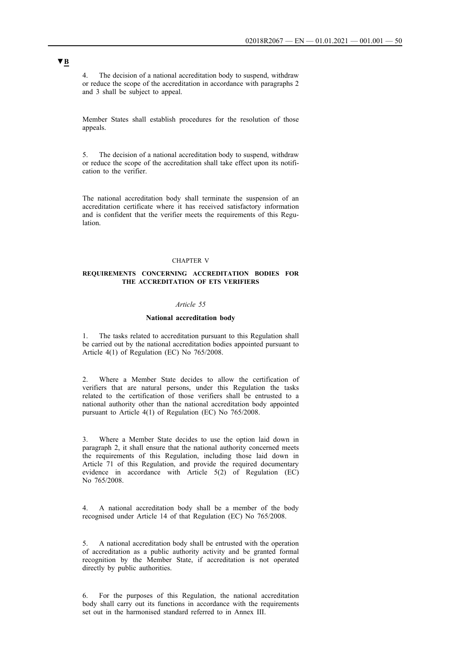4. The decision of a national accreditation body to suspend, withdraw or reduce the scope of the accreditation in accordance with paragraphs 2 and 3 shall be subject to appeal.

Member States shall establish procedures for the resolution of those appeals.

5. The decision of a national accreditation body to suspend, withdraw or reduce the scope of the accreditation shall take effect upon its notification to the verifier.

The national accreditation body shall terminate the suspension of an accreditation certificate where it has received satisfactory information and is confident that the verifier meets the requirements of this Regulation.

#### CHAPTER V

### **REQUIREMENTS CONCERNING ACCREDITATION BODIES FOR THE ACCREDITATION OF ETS VERIFIERS**

#### *Article 55*

#### **National accreditation body**

1. The tasks related to accreditation pursuant to this Regulation shall be carried out by the national accreditation bodies appointed pursuant to Article 4(1) of Regulation (EC) No 765/2008.

2. Where a Member State decides to allow the certification of verifiers that are natural persons, under this Regulation the tasks related to the certification of those verifiers shall be entrusted to a national authority other than the national accreditation body appointed pursuant to Article 4(1) of Regulation (EC) No 765/2008.

3. Where a Member State decides to use the option laid down in paragraph 2, it shall ensure that the national authority concerned meets the requirements of this Regulation, including those laid down in Article 71 of this Regulation, and provide the required documentary evidence in accordance with Article 5(2) of Regulation (EC) No 765/2008.

4. A national accreditation body shall be a member of the body recognised under Article 14 of that Regulation (EC) No 765/2008.

5. A national accreditation body shall be entrusted with the operation of accreditation as a public authority activity and be granted formal recognition by the Member State, if accreditation is not operated directly by public authorities.

6. For the purposes of this Regulation, the national accreditation body shall carry out its functions in accordance with the requirements set out in the harmonised standard referred to in Annex III.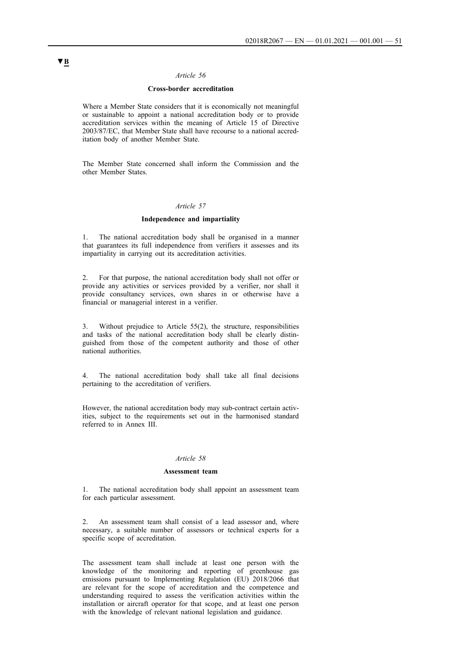## *Article 56*

## **Cross-border accreditation**

Where a Member State considers that it is economically not meaningful or sustainable to appoint a national accreditation body or to provide accreditation services within the meaning of Article 15 of Directive 2003/87/EC, that Member State shall have recourse to a national accreditation body of another Member State.

The Member State concerned shall inform the Commission and the other Member States.

## *Article 57*

#### **Independence and impartiality**

1. The national accreditation body shall be organised in a manner that guarantees its full independence from verifiers it assesses and its impartiality in carrying out its accreditation activities.

2. For that purpose, the national accreditation body shall not offer or provide any activities or services provided by a verifier, nor shall it provide consultancy services, own shares in or otherwise have a financial or managerial interest in a verifier.

3. Without prejudice to Article 55(2), the structure, responsibilities and tasks of the national accreditation body shall be clearly distinguished from those of the competent authority and those of other national authorities.

4. The national accreditation body shall take all final decisions pertaining to the accreditation of verifiers.

However, the national accreditation body may sub-contract certain activities, subject to the requirements set out in the harmonised standard referred to in Annex III.

#### *Article 58*

#### **Assessment team**

1. The national accreditation body shall appoint an assessment team for each particular assessment.

2. An assessment team shall consist of a lead assessor and, where necessary, a suitable number of assessors or technical experts for a specific scope of accreditation.

The assessment team shall include at least one person with the knowledge of the monitoring and reporting of greenhouse gas emissions pursuant to Implementing Regulation (EU) 2018/2066 that are relevant for the scope of accreditation and the competence and understanding required to assess the verification activities within the installation or aircraft operator for that scope, and at least one person with the knowledge of relevant national legislation and guidance.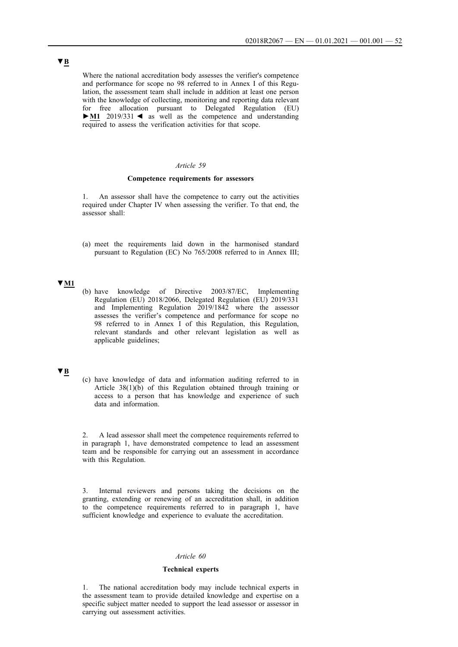Where the national accreditation body assesses the verifier's competence and performance for scope no 98 referred to in Annex I of this Regulation, the assessment team shall include in addition at least one person with the knowledge of collecting, monitoring and reporting data relevant for free allocation pursuant to Delegated Regulation (EU) **►M1** 2019/331 ◄ as well as the competence and understanding required to assess the verification activities for that scope.

## *Article 59*

#### **Competence requirements for assessors**

1. An assessor shall have the competence to carry out the activities required under Chapter IV when assessing the verifier. To that end, the assessor shall:

(a) meet the requirements laid down in the harmonised standard pursuant to Regulation (EC) No 765/2008 referred to in Annex III;

## **▼M1**

(b) have knowledge of Directive 2003/87/EC, Implementing Regulation (EU) 2018/2066, Delegated Regulation (EU) 2019/331 and Implementing Regulation 2019/1842 where the assessor assesses the verifier's competence and performance for scope no 98 referred to in Annex I of this Regulation, this Regulation, relevant standards and other relevant legislation as well as applicable guidelines;

## **▼B**

(c) have knowledge of data and information auditing referred to in Article 38(1)(b) of this Regulation obtained through training or access to a person that has knowledge and experience of such data and information.

2. A lead assessor shall meet the competence requirements referred to in paragraph 1, have demonstrated competence to lead an assessment team and be responsible for carrying out an assessment in accordance with this Regulation.

3. Internal reviewers and persons taking the decisions on the granting, extending or renewing of an accreditation shall, in addition to the competence requirements referred to in paragraph 1, have sufficient knowledge and experience to evaluate the accreditation.

#### *Article 60*

## **Technical experts**

1. The national accreditation body may include technical experts in the assessment team to provide detailed knowledge and expertise on a specific subject matter needed to support the lead assessor or assessor in carrying out assessment activities.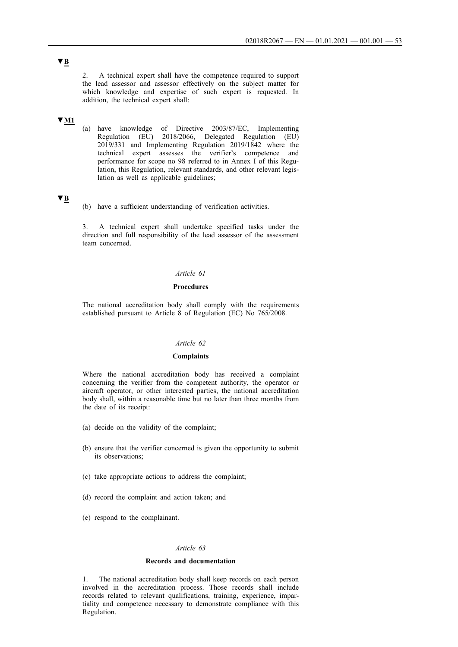2. A technical expert shall have the competence required to support the lead assessor and assessor effectively on the subject matter for which knowledge and expertise of such expert is requested. In addition, the technical expert shall:

## **▼M1**

(a) have knowledge of Directive 2003/87/EC, Implementing Regulation (EU) 2018/2066, Delegated Regulation (EU) 2019/331 and Implementing Regulation 2019/1842 where the technical expert assesses the verifier's competence and performance for scope no 98 referred to in Annex I of this Regulation, this Regulation, relevant standards, and other relevant legislation as well as applicable guidelines;

## **▼B**

(b) have a sufficient understanding of verification activities.

3. A technical expert shall undertake specified tasks under the direction and full responsibility of the lead assessor of the assessment team concerned.

## *Article 61*

### **Procedures**

The national accreditation body shall comply with the requirements established pursuant to Article 8 of Regulation (EC) No 765/2008.

## *Article 62*

## **Complaints**

Where the national accreditation body has received a complaint concerning the verifier from the competent authority, the operator or aircraft operator, or other interested parties, the national accreditation body shall, within a reasonable time but no later than three months from the date of its receipt:

- (a) decide on the validity of the complaint;
- (b) ensure that the verifier concerned is given the opportunity to submit its observations;
- (c) take appropriate actions to address the complaint;
- (d) record the complaint and action taken; and
- (e) respond to the complainant.

#### *Article 63*

## **Records and documentation**

1. The national accreditation body shall keep records on each person involved in the accreditation process. Those records shall include records related to relevant qualifications, training, experience, impartiality and competence necessary to demonstrate compliance with this Regulation.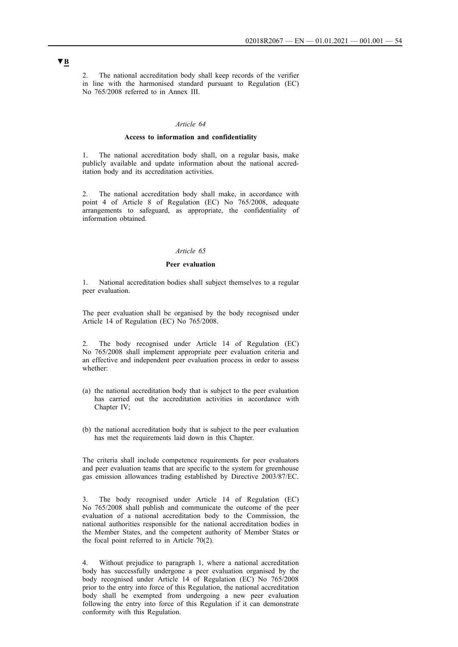2. The national accreditation body shall keep records of the verifier in line with the harmonised standard pursuant to Regulation (EC) No 765/2008 referred to in Annex III.

#### *Article 64*

### **Access to information and confidentiality**

1. The national accreditation body shall, on a regular basis, make publicly available and update information about the national accreditation body and its accreditation activities.

2. The national accreditation body shall make, in accordance with point 4 of Article 8 of Regulation (EC) No 765/2008, adequate arrangements to safeguard, as appropriate, the confidentiality of information obtained.

### *Article 65*

### **Peer evaluation**

National accreditation bodies shall subject themselves to a regular peer evaluation.

The peer evaluation shall be organised by the body recognised under Article 14 of Regulation (EC) No 765/2008.

The body recognised under Article 14 of Regulation (EC) No 765/2008 shall implement appropriate peer evaluation criteria and an effective and independent peer evaluation process in order to assess whether:

- (a) the national accreditation body that is subject to the peer evaluation has carried out the accreditation activities in accordance with Chapter IV;
- (b) the national accreditation body that is subject to the peer evaluation has met the requirements laid down in this Chapter.

The criteria shall include competence requirements for peer evaluators and peer evaluation teams that are specific to the system for greenhouse gas emission allowances trading established by Directive 2003/87/EC.

The body recognised under Article 14 of Regulation (EC) No 765/2008 shall publish and communicate the outcome of the peer evaluation of a national accreditation body to the Commission, the national authorities responsible for the national accreditation bodies in the Member States, and the competent authority of Member States or the focal point referred to in Article 70(2).

4. Without prejudice to paragraph 1, where a national accreditation body has successfully undergone a peer evaluation organised by the body recognised under Article 14 of Regulation (EC) No 765/2008 prior to the entry into force of this Regulation, the national accreditation body shall be exempted from undergoing a new peer evaluation following the entry into force of this Regulation if it can demonstrate conformity with this Regulation.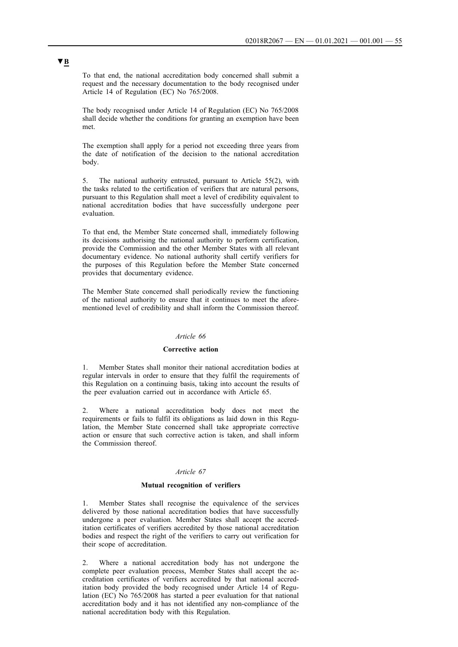To that end, the national accreditation body concerned shall submit a request and the necessary documentation to the body recognised under Article 14 of Regulation (EC) No 765/2008.

The body recognised under Article 14 of Regulation (EC) No 765/2008 shall decide whether the conditions for granting an exemption have been met.

The exemption shall apply for a period not exceeding three years from the date of notification of the decision to the national accreditation body.

5. The national authority entrusted, pursuant to Article 55(2), with the tasks related to the certification of verifiers that are natural persons, pursuant to this Regulation shall meet a level of credibility equivalent to national accreditation bodies that have successfully undergone peer evaluation.

To that end, the Member State concerned shall, immediately following its decisions authorising the national authority to perform certification, provide the Commission and the other Member States with all relevant documentary evidence. No national authority shall certify verifiers for the purposes of this Regulation before the Member State concerned provides that documentary evidence.

The Member State concerned shall periodically review the functioning of the national authority to ensure that it continues to meet the aforementioned level of credibility and shall inform the Commission thereof.

#### *Article 66*

## **Corrective action**

1. Member States shall monitor their national accreditation bodies at regular intervals in order to ensure that they fulfil the requirements of this Regulation on a continuing basis, taking into account the results of the peer evaluation carried out in accordance with Article 65.

2. Where a national accreditation body does not meet the requirements or fails to fulfil its obligations as laid down in this Regulation, the Member State concerned shall take appropriate corrective action or ensure that such corrective action is taken, and shall inform the Commission thereof.

#### *Article 67*

#### **Mutual recognition of verifiers**

Member States shall recognise the equivalence of the services delivered by those national accreditation bodies that have successfully undergone a peer evaluation. Member States shall accept the accreditation certificates of verifiers accredited by those national accreditation bodies and respect the right of the verifiers to carry out verification for their scope of accreditation.

Where a national accreditation body has not undergone the complete peer evaluation process, Member States shall accept the accreditation certificates of verifiers accredited by that national accreditation body provided the body recognised under Article 14 of Regulation (EC) No 765/2008 has started a peer evaluation for that national accreditation body and it has not identified any non-compliance of the national accreditation body with this Regulation.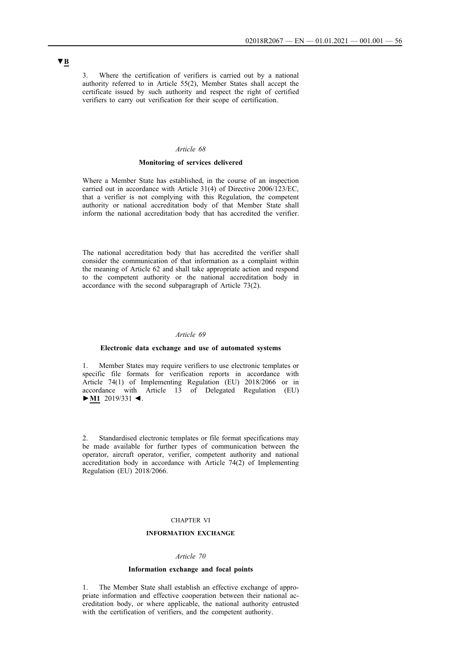3. Where the certification of verifiers is carried out by a national authority referred to in Article 55(2), Member States shall accept the certificate issued by such authority and respect the right of certified verifiers to carry out verification for their scope of certification.

## *Article 68*

### **Monitoring of services delivered**

Where a Member State has established, in the course of an inspection carried out in accordance with Article 31(4) of Directive 2006/123/EC, that a verifier is not complying with this Regulation, the competent authority or national accreditation body of that Member State shall inform the national accreditation body that has accredited the verifier.

The national accreditation body that has accredited the verifier shall consider the communication of that information as a complaint within the meaning of Article 62 and shall take appropriate action and respond to the competent authority or the national accreditation body in accordance with the second subparagraph of Article 73(2).

## *Article 69*

## **Electronic data exchange and use of automated systems**

1. Member States may require verifiers to use electronic templates or specific file formats for verification reports in accordance with Article 74(1) of Implementing Regulation (EU) 2018/2066 or in accordance with Article 13 of Delegated Regulation (EU) **►M1** 2019/331 ◄.

2. Standardised electronic templates or file format specifications may be made available for further types of communication between the operator, aircraft operator, verifier, competent authority and national accreditation body in accordance with Article 74(2) of Implementing Regulation (EU) 2018/2066.

## CHAPTER VI

## **INFORMATION EXCHANGE**

#### *Article 70*

#### **Information exchange and focal points**

1. The Member State shall establish an effective exchange of appropriate information and effective cooperation between their national accreditation body, or where applicable, the national authority entrusted with the certification of verifiers, and the competent authority.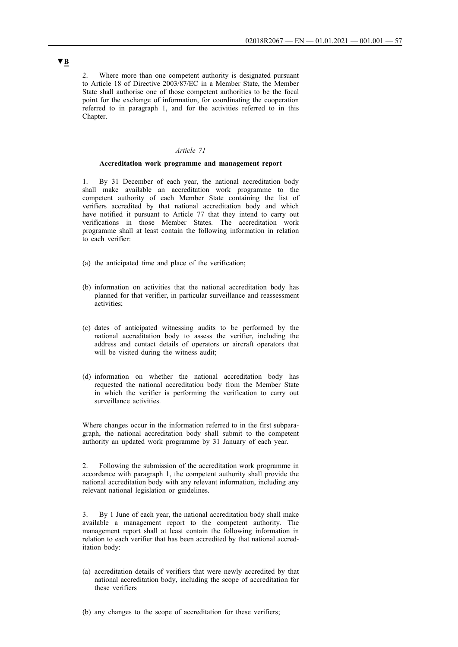2. Where more than one competent authority is designated pursuant to Article 18 of Directive 2003/87/EC in a Member State, the Member State shall authorise one of those competent authorities to be the focal point for the exchange of information, for coordinating the cooperation referred to in paragraph 1, and for the activities referred to in this Chapter.

## *Article 71*

### **Accreditation work programme and management report**

1. By 31 December of each year, the national accreditation body shall make available an accreditation work programme to the competent authority of each Member State containing the list of verifiers accredited by that national accreditation body and which have notified it pursuant to Article 77 that they intend to carry out verifications in those Member States. The accreditation work programme shall at least contain the following information in relation to each verifier:

- (a) the anticipated time and place of the verification;
- (b) information on activities that the national accreditation body has planned for that verifier, in particular surveillance and reassessment activities;
- (c) dates of anticipated witnessing audits to be performed by the national accreditation body to assess the verifier, including the address and contact details of operators or aircraft operators that will be visited during the witness audit;
- (d) information on whether the national accreditation body has requested the national accreditation body from the Member State in which the verifier is performing the verification to carry out surveillance activities.

Where changes occur in the information referred to in the first subparagraph, the national accreditation body shall submit to the competent authority an updated work programme by 31 January of each year.

2. Following the submission of the accreditation work programme in accordance with paragraph 1, the competent authority shall provide the national accreditation body with any relevant information, including any relevant national legislation or guidelines.

3. By 1 June of each year, the national accreditation body shall make available a management report to the competent authority. The management report shall at least contain the following information in relation to each verifier that has been accredited by that national accreditation body:

- (a) accreditation details of verifiers that were newly accredited by that national accreditation body, including the scope of accreditation for these verifiers
- (b) any changes to the scope of accreditation for these verifiers;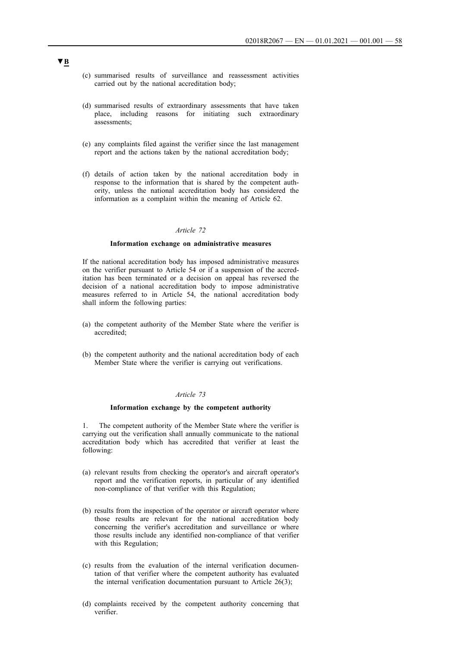- (c) summarised results of surveillance and reassessment activities carried out by the national accreditation body;
- (d) summarised results of extraordinary assessments that have taken place, including reasons for initiating such extraordinary assessments;
- (e) any complaints filed against the verifier since the last management report and the actions taken by the national accreditation body;
- (f) details of action taken by the national accreditation body in response to the information that is shared by the competent authority, unless the national accreditation body has considered the information as a complaint within the meaning of Article 62.

## *Article 72*

### **Information exchange on administrative measures**

If the national accreditation body has imposed administrative measures on the verifier pursuant to Article 54 or if a suspension of the accreditation has been terminated or a decision on appeal has reversed the decision of a national accreditation body to impose administrative measures referred to in Article 54, the national accreditation body shall inform the following parties:

- (a) the competent authority of the Member State where the verifier is accredited;
- (b) the competent authority and the national accreditation body of each Member State where the verifier is carrying out verifications.

## *Article 73*

#### **Information exchange by the competent authority**

1. The competent authority of the Member State where the verifier is carrying out the verification shall annually communicate to the national accreditation body which has accredited that verifier at least the following:

- (a) relevant results from checking the operator's and aircraft operator's report and the verification reports, in particular of any identified non-compliance of that verifier with this Regulation;
- (b) results from the inspection of the operator or aircraft operator where those results are relevant for the national accreditation body concerning the verifier's accreditation and surveillance or where those results include any identified non-compliance of that verifier with this Regulation;
- (c) results from the evaluation of the internal verification documentation of that verifier where the competent authority has evaluated the internal verification documentation pursuant to Article 26(3);
- (d) complaints received by the competent authority concerning that verifier.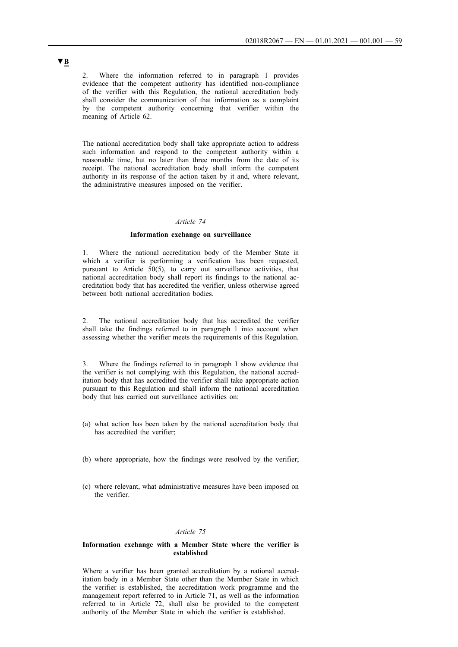2. Where the information referred to in paragraph 1 provides evidence that the competent authority has identified non-compliance of the verifier with this Regulation, the national accreditation body shall consider the communication of that information as a complaint by the competent authority concerning that verifier within the meaning of Article 62.

The national accreditation body shall take appropriate action to address such information and respond to the competent authority within a reasonable time, but no later than three months from the date of its receipt. The national accreditation body shall inform the competent authority in its response of the action taken by it and, where relevant, the administrative measures imposed on the verifier.

#### *Article 74*

#### **Information exchange on surveillance**

1. Where the national accreditation body of the Member State in which a verifier is performing a verification has been requested, pursuant to Article 50(5), to carry out surveillance activities, that national accreditation body shall report its findings to the national accreditation body that has accredited the verifier, unless otherwise agreed between both national accreditation bodies.

2. The national accreditation body that has accredited the verifier shall take the findings referred to in paragraph 1 into account when assessing whether the verifier meets the requirements of this Regulation.

3. Where the findings referred to in paragraph 1 show evidence that the verifier is not complying with this Regulation, the national accreditation body that has accredited the verifier shall take appropriate action pursuant to this Regulation and shall inform the national accreditation body that has carried out surveillance activities on:

- (a) what action has been taken by the national accreditation body that has accredited the verifier;
- (b) where appropriate, how the findings were resolved by the verifier;
- (c) where relevant, what administrative measures have been imposed on the verifier.

## *Article 75*

#### **Information exchange with a Member State where the verifier is established**

Where a verifier has been granted accreditation by a national accreditation body in a Member State other than the Member State in which the verifier is established, the accreditation work programme and the management report referred to in Article 71, as well as the information referred to in Article 72, shall also be provided to the competent authority of the Member State in which the verifier is established.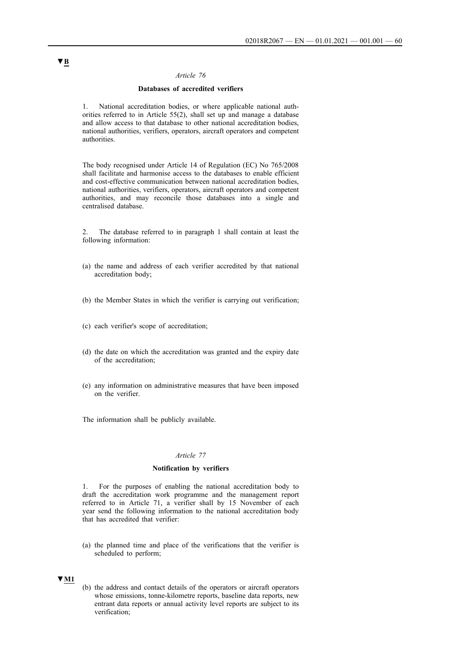## *Article 76*

## **Databases of accredited verifiers**

1. National accreditation bodies, or where applicable national authorities referred to in Article  $55(2)$ , shall set up and manage a database and allow access to that database to other national accreditation bodies, national authorities, verifiers, operators, aircraft operators and competent authorities.

The body recognised under Article 14 of Regulation (EC) No 765/2008 shall facilitate and harmonise access to the databases to enable efficient and cost-effective communication between national accreditation bodies, national authorities, verifiers, operators, aircraft operators and competent authorities, and may reconcile those databases into a single and centralised database.

2. The database referred to in paragraph 1 shall contain at least the following information:

- (a) the name and address of each verifier accredited by that national accreditation body;
- (b) the Member States in which the verifier is carrying out verification;
- (c) each verifier's scope of accreditation;
- (d) the date on which the accreditation was granted and the expiry date of the accreditation;
- (e) any information on administrative measures that have been imposed on the verifier.

The information shall be publicly available.

## *Article 77*

## **Notification by verifiers**

1. For the purposes of enabling the national accreditation body to draft the accreditation work programme and the management report referred to in Article 71, a verifier shall by 15 November of each year send the following information to the national accreditation body that has accredited that verifier:

(a) the planned time and place of the verifications that the verifier is scheduled to perform;

## **▼M1**

(b) the address and contact details of the operators or aircraft operators whose emissions, tonne-kilometre reports, baseline data reports, new entrant data reports or annual activity level reports are subject to its verification;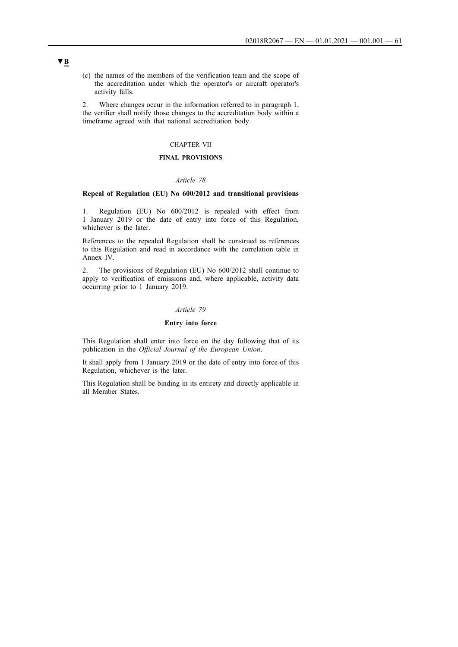(c) the names of the members of the verification team and the scope of the accreditation under which the operator's or aircraft operator's activity falls.

2. Where changes occur in the information referred to in paragraph 1, the verifier shall notify those changes to the accreditation body within a timeframe agreed with that national accreditation body.

## CHAPTER VII

## **FINAL PROVISIONS**

## *Article 78*

#### **Repeal of Regulation (EU) No 600/2012 and transitional provisions**

1. Regulation (EU) No 600/2012 is repealed with effect from 1 January 2019 or the date of entry into force of this Regulation, whichever is the later.

References to the repealed Regulation shall be construed as references to this Regulation and read in accordance with the correlation table in Annex IV.

2. The provisions of Regulation (EU) No 600/2012 shall continue to apply to verification of emissions and, where applicable, activity data occurring prior to 1 January 2019.

## *Article 79*

## **Entry into force**

This Regulation shall enter into force on the day following that of its publication in the *Official Journal of the European Union*.

It shall apply from 1 January 2019 or the date of entry into force of this Regulation, whichever is the later.

This Regulation shall be binding in its entirety and directly applicable in all Member States.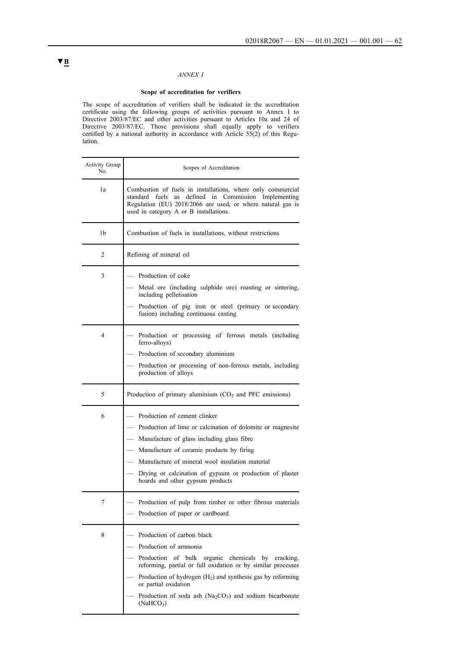# *ANNEX I*

### **Scope of accreditation for verifiers**

The scope of accreditation of verifiers shall be indicated in the accreditation certificate using the following groups of activities pursuant to Annex I to Directive 2003/87/EC and other activities pursuant to Articles 10a and 24 of Directive 2003/87/EC. Those provisions shall equally apply to verifiers certified by a national authority in accordance with Article 55(2) of this Regulation.

| Activity Group<br>No. | Scopes of Accreditation                                                                                                                                                                                                                                                                                                                                  |  |  |  |
|-----------------------|----------------------------------------------------------------------------------------------------------------------------------------------------------------------------------------------------------------------------------------------------------------------------------------------------------------------------------------------------------|--|--|--|
| 1a                    | Combustion of fuels in installations, where only commercial<br>standard fuels as defined in Commission Implementing<br>Regulation (EU) 2018/2066 are used, or where natural gas is<br>used in category A or B installations.                                                                                                                             |  |  |  |
| 1b                    | Combustion of fuels in installations, without restrictions                                                                                                                                                                                                                                                                                               |  |  |  |
| 2                     | Refining of mineral oil                                                                                                                                                                                                                                                                                                                                  |  |  |  |
| 3                     | Production of coke<br>Metal ore (including sulphide ore) roasting or sintering,<br>including pelletisation<br>Production of pig iron or steel (primary or secondary<br>fusion) including continuous casting                                                                                                                                              |  |  |  |
| 4                     | - Production or processing of ferrous metals (including<br>ferro-alloys)<br>Production of secondary aluminium<br>Production or processing of non-ferrous metals, including<br>production of alloys                                                                                                                                                       |  |  |  |
| 5                     | Production of primary aluminium $(CO2$ and PFC emissions)                                                                                                                                                                                                                                                                                                |  |  |  |
| 6                     | Production of cement clinker<br>Production of lime or calcination of dolomite or magnesite<br>Manufacture of glass including glass fibre<br>Manufacture of ceramic products by firing<br>Manufacture of mineral wool insulation material<br>Drying or calcination of gypsum or production of plaster<br>boards and other gypsum products                 |  |  |  |
|                       | Production of pulp from timber or other fibrous materials<br>Production of paper or cardboard                                                                                                                                                                                                                                                            |  |  |  |
| 8                     | Production of carbon black<br>Production of ammonia<br>Production of bulk organic chemicals by cracking,<br>reforming, partial or full oxidation or by similar processes<br>Production of hydrogen $(H_2)$ and synthesis gas by reforming<br>or partial oxidation<br>Production of soda ash ( $Na2CO3$ ) and sodium bicarbonate<br>(NaHCO <sub>3</sub> ) |  |  |  |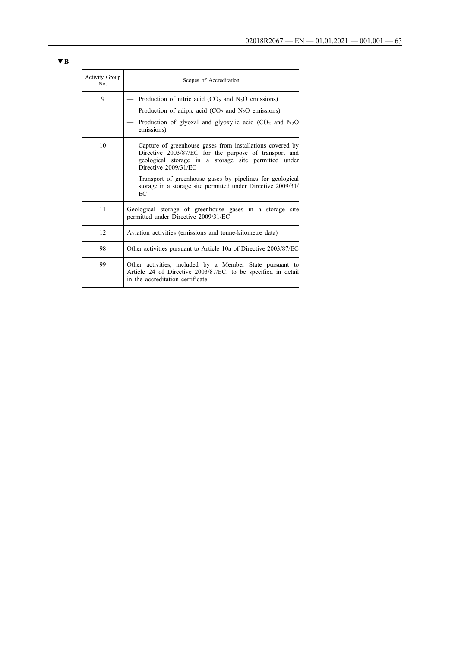| Activity Group<br>No. | Scopes of Accreditation                                                                                                                                                                                                                                                                                                               |  |  |
|-----------------------|---------------------------------------------------------------------------------------------------------------------------------------------------------------------------------------------------------------------------------------------------------------------------------------------------------------------------------------|--|--|
| 9                     | Production of nitric acid $(CO2$ and $N2O$ emissions)<br>Production of adipic acid $(CO_2$ and $N_2O$ emissions)<br>Production of glyoxal and glyoxylic acid $(CO_2$ and $N_2O$<br>emissions)                                                                                                                                         |  |  |
| 10                    | Capture of greenhouse gases from installations covered by<br>Directive 2003/87/EC for the purpose of transport and<br>geological storage in a storage site permitted under<br>Directive 2009/31/EC<br>Transport of greenhouse gases by pipelines for geological<br>storage in a storage site permitted under Directive 2009/31/<br>EC |  |  |
| 11                    | Geological storage of greenhouse gases in a storage site<br>permitted under Directive 2009/31/EC                                                                                                                                                                                                                                      |  |  |
| 12                    | Aviation activities (emissions and tonne-kilometre data)                                                                                                                                                                                                                                                                              |  |  |
| 98                    | Other activities pursuant to Article 10a of Directive 2003/87/EC                                                                                                                                                                                                                                                                      |  |  |
| 99                    | Other activities, included by a Member State pursuant to<br>Article 24 of Directive 2003/87/EC, to be specified in detail<br>in the accreditation certificate                                                                                                                                                                         |  |  |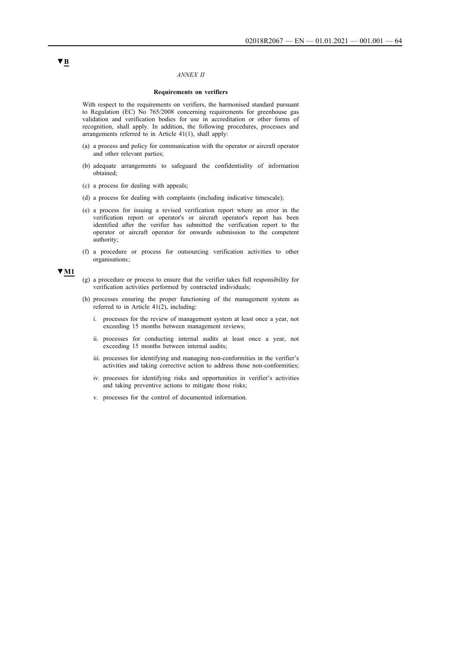### *ANNEX II*

#### **Requirements on verifiers**

With respect to the requirements on verifiers, the harmonised standard pursuant to Regulation (EC) No 765/2008 concerning requirements for greenhouse gas validation and verification bodies for use in accreditation or other forms of recognition, shall apply. In addition, the following procedures, processes and arrangements referred to in Article 41(1), shall apply:

- (a) a process and policy for communication with the operator or aircraft operator and other relevant parties;
- (b) adequate arrangements to safeguard the confidentiality of information obtained;
- (c) a process for dealing with appeals;
- (d) a process for dealing with complaints (including indicative timescale);
- (e) a process for issuing a revised verification report where an error in the verification report or operator's or aircraft operator's report has been identified after the verifier has submitted the verification report to the operator or aircraft operator for onwards submission to the competent authority;
- (f) a procedure or process for outsourcing verification activities to other organisations ;

**▼M1**

- (g) a procedure or process to ensure that the verifier takes full responsibility for verification activities performed by contracted individuals;
- (h) processes ensuring the proper functioning of the management system as referred to in Article  $41(2)$ , including:
	- i. processes for the review of management system at least once a year, not exceeding 15 months between management reviews;
	- ii. processes for conducting internal audits at least once a year, not exceeding 15 months between internal audits;
	- iii. processes for identifying and managing non-conformities in the verifier's activities and taking corrective action to address those non-conformities;
	- iv. processes for identifying risks and opportunities in verifier's activities and taking preventive actions to mitigate those risks;
	- v. processes for the control of documented information.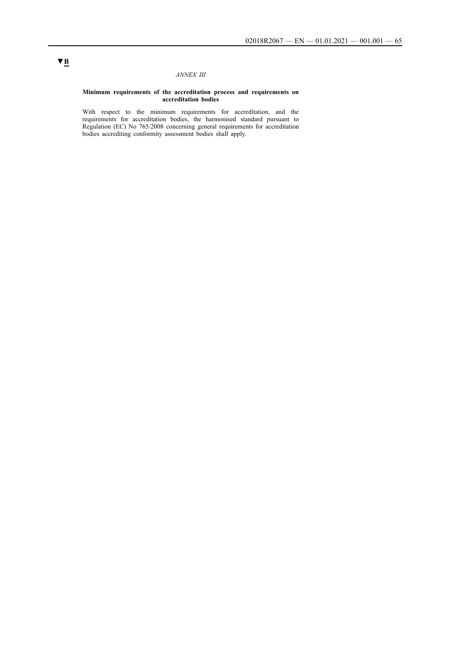## *ANNEX III*

#### **Minimum requirements of the accreditation process and requirements on accreditation bodies**

With respect to the minimum requirements for accreditation, and the requirements for accreditation bodies, the harmonised standard pursuant to Regulation (EC) No 765/2008 concerning general requirements for accreditation bodies accrediting conformity assessment bodies shall apply.